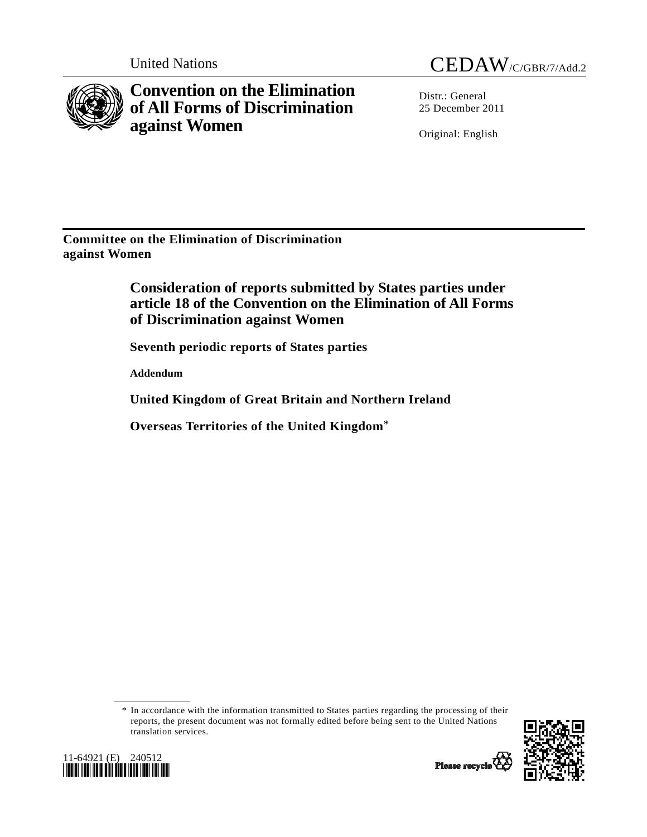

**Convention on the Elimination of All Forms of Discrimination against Women** 



Distr.: General 25 December 2011

Original: English

**Committee on the Elimination of Discrimination against Women** 

> **Consideration of reports submitted by States parties under article 18 of the Convention on the Elimination of All Forms of Discrimination against Women**

 **Seventh periodic reports of States parties** 

 **Addendum** 

 **United Kingdom of Great Britain and Northern Ireland** 

 **Overseas Territories of the United Kingdom**\*

 \* In accordance with the information transmitted to States parties regarding the processing of their reports, the present document was not formally edited before being sent to the United Nations translation services.



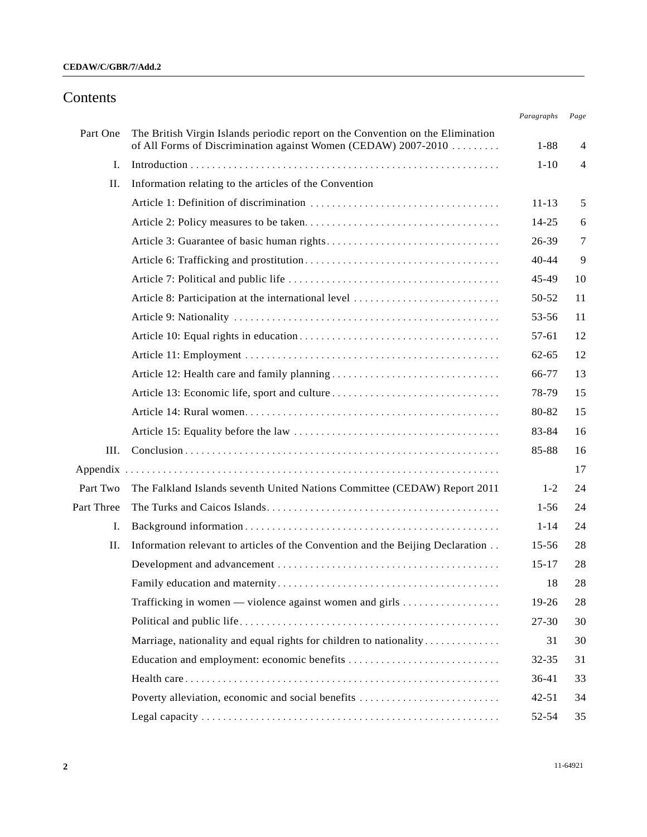# Contents

|            |                                                                                                                                                   | Paragraphs | Page           |
|------------|---------------------------------------------------------------------------------------------------------------------------------------------------|------------|----------------|
| Part One   | The British Virgin Islands periodic report on the Convention on the Elimination<br>of All Forms of Discrimination against Women (CEDAW) 2007-2010 | $1 - 88$   | $\overline{4}$ |
| I.         |                                                                                                                                                   | $1 - 10$   | $\overline{4}$ |
| П.         | Information relating to the articles of the Convention                                                                                            |            |                |
|            |                                                                                                                                                   | $11 - 13$  | 5              |
|            |                                                                                                                                                   | $14 - 25$  | 6              |
|            |                                                                                                                                                   | 26-39      | 7              |
|            |                                                                                                                                                   | $40 - 44$  | 9              |
|            |                                                                                                                                                   | 45-49      | 10             |
|            | Article 8: Participation at the international level                                                                                               | 50-52      | 11             |
|            |                                                                                                                                                   | 53-56      | 11             |
|            |                                                                                                                                                   | 57-61      | 12             |
|            |                                                                                                                                                   | $62 - 65$  | 12             |
|            |                                                                                                                                                   | 66-77      | 13             |
|            |                                                                                                                                                   | 78-79      | 15             |
|            |                                                                                                                                                   | 80-82      | 15             |
|            |                                                                                                                                                   | 83-84      | 16             |
| III.       |                                                                                                                                                   | 85-88      | 16             |
| Appendix   |                                                                                                                                                   |            | 17             |
| Part Two   | The Falkland Islands seventh United Nations Committee (CEDAW) Report 2011                                                                         | $1 - 2$    | 24             |
| Part Three |                                                                                                                                                   | $1 - 56$   | 24             |
| I.         |                                                                                                                                                   | $1 - 14$   | 24             |
| II.        | Information relevant to articles of the Convention and the Beijing Declaration                                                                    | $15 - 56$  | 28             |
|            |                                                                                                                                                   | $15 - 17$  | 28             |
|            |                                                                                                                                                   | 18         | 28             |
|            | Trafficking in women — violence against women and girls $\dots\dots\dots\dots\dots$                                                               | 19-26      | 28             |
|            |                                                                                                                                                   | $27 - 30$  | 30             |
|            | Marriage, nationality and equal rights for children to nationality                                                                                | 31         | 30             |
|            |                                                                                                                                                   | 32-35      | 31             |
|            |                                                                                                                                                   | 36-41      | 33             |
|            | Poverty alleviation, economic and social benefits                                                                                                 | $42 - 51$  | 34             |
|            |                                                                                                                                                   | 52-54      | 35             |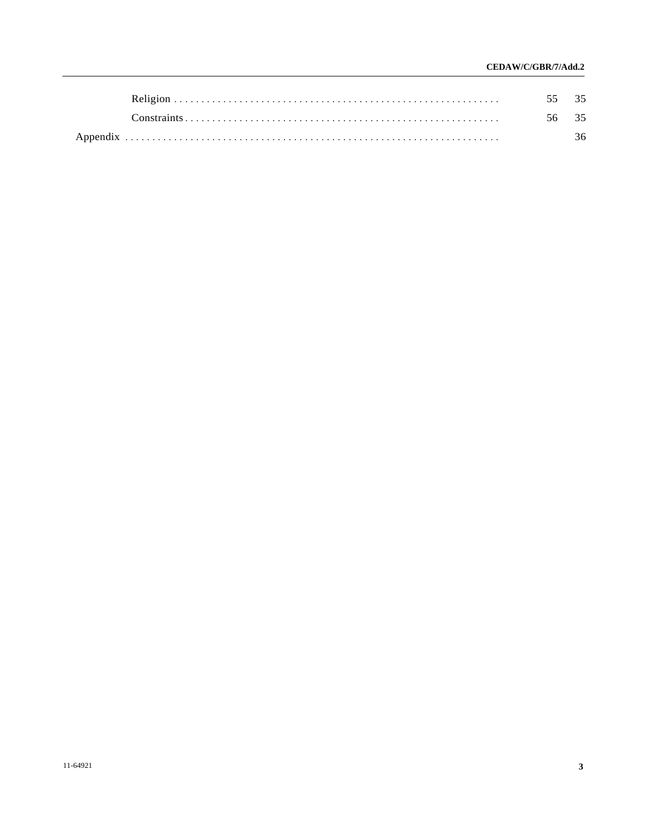# CEDAW/C/GBR/7/Add.2

|  | 36 |
|--|----|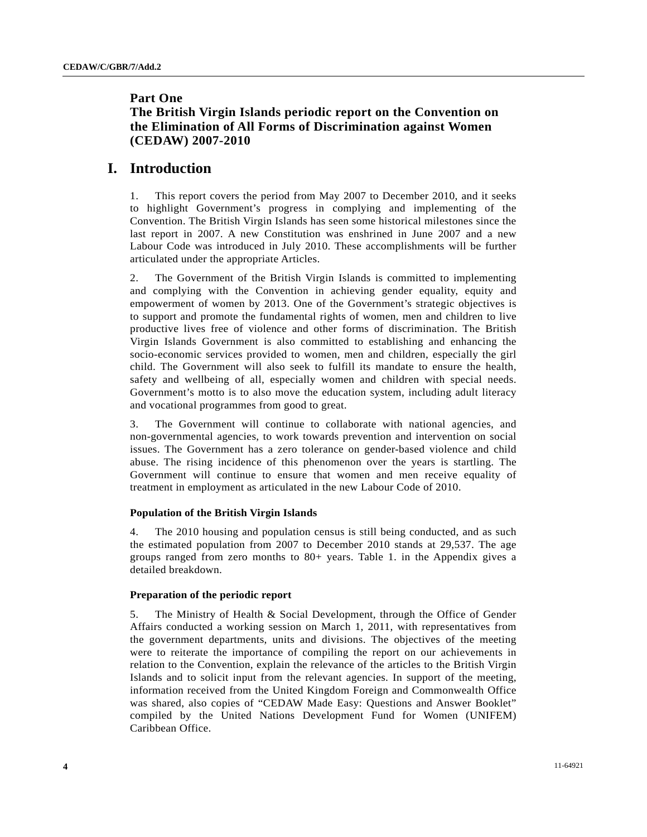# **Part One**

# **The British Virgin Islands periodic report on the Convention on the Elimination of All Forms of Discrimination against Women (CEDAW) 2007-2010**

# **I. Introduction**

1. This report covers the period from May 2007 to December 2010, and it seeks to highlight Government's progress in complying and implementing of the Convention. The British Virgin Islands has seen some historical milestones since the last report in 2007. A new Constitution was enshrined in June 2007 and a new Labour Code was introduced in July 2010. These accomplishments will be further articulated under the appropriate Articles.

2. The Government of the British Virgin Islands is committed to implementing and complying with the Convention in achieving gender equality, equity and empowerment of women by 2013. One of the Government's strategic objectives is to support and promote the fundamental rights of women, men and children to live productive lives free of violence and other forms of discrimination. The British Virgin Islands Government is also committed to establishing and enhancing the socio-economic services provided to women, men and children, especially the girl child. The Government will also seek to fulfill its mandate to ensure the health, safety and wellbeing of all, especially women and children with special needs. Government's motto is to also move the education system, including adult literacy and vocational programmes from good to great.

3. The Government will continue to collaborate with national agencies, and non-governmental agencies, to work towards prevention and intervention on social issues. The Government has a zero tolerance on gender-based violence and child abuse. The rising incidence of this phenomenon over the years is startling. The Government will continue to ensure that women and men receive equality of treatment in employment as articulated in the new Labour Code of 2010.

# **Population of the British Virgin Islands**

4. The 2010 housing and population census is still being conducted, and as such the estimated population from 2007 to December 2010 stands at 29,537. The age groups ranged from zero months to 80+ years. Table 1. in the Appendix gives a detailed breakdown.

# **Preparation of the periodic report**

5. The Ministry of Health & Social Development, through the Office of Gender Affairs conducted a working session on March 1, 2011, with representatives from the government departments, units and divisions. The objectives of the meeting were to reiterate the importance of compiling the report on our achievements in relation to the Convention, explain the relevance of the articles to the British Virgin Islands and to solicit input from the relevant agencies. In support of the meeting, information received from the United Kingdom Foreign and Commonwealth Office was shared, also copies of "CEDAW Made Easy: Questions and Answer Booklet" compiled by the United Nations Development Fund for Women (UNIFEM) Caribbean Office.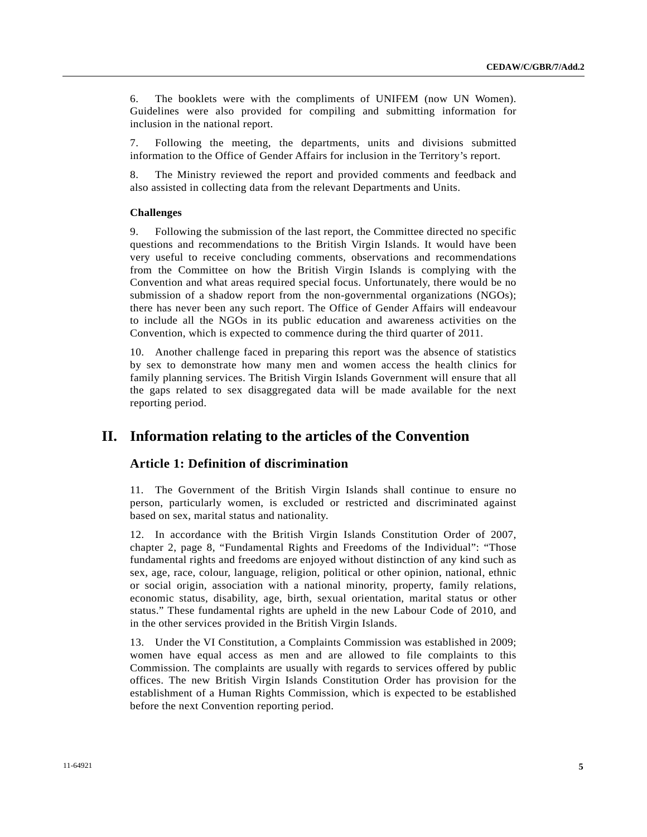6. The booklets were with the compliments of UNIFEM (now UN Women). Guidelines were also provided for compiling and submitting information for inclusion in the national report.

7. Following the meeting, the departments, units and divisions submitted information to the Office of Gender Affairs for inclusion in the Territory's report.

8. The Ministry reviewed the report and provided comments and feedback and also assisted in collecting data from the relevant Departments and Units.

# **Challenges**

9. Following the submission of the last report, the Committee directed no specific questions and recommendations to the British Virgin Islands. It would have been very useful to receive concluding comments, observations and recommendations from the Committee on how the British Virgin Islands is complying with the Convention and what areas required special focus. Unfortunately, there would be no submission of a shadow report from the non-governmental organizations (NGOs); there has never been any such report. The Office of Gender Affairs will endeavour to include all the NGOs in its public education and awareness activities on the Convention, which is expected to commence during the third quarter of 2011.

10. Another challenge faced in preparing this report was the absence of statistics by sex to demonstrate how many men and women access the health clinics for family planning services. The British Virgin Islands Government will ensure that all the gaps related to sex disaggregated data will be made available for the next reporting period.

# **II. Information relating to the articles of the Convention**

# **Article 1: Definition of discrimination**

11. The Government of the British Virgin Islands shall continue to ensure no person, particularly women, is excluded or restricted and discriminated against based on sex, marital status and nationality.

12. In accordance with the British Virgin Islands Constitution Order of 2007, chapter 2, page 8, "Fundamental Rights and Freedoms of the Individual": "Those fundamental rights and freedoms are enjoyed without distinction of any kind such as sex, age, race, colour, language, religion, political or other opinion, national, ethnic or social origin, association with a national minority, property, family relations, economic status, disability, age, birth, sexual orientation, marital status or other status." These fundamental rights are upheld in the new Labour Code of 2010, and in the other services provided in the British Virgin Islands.

13. Under the VI Constitution, a Complaints Commission was established in 2009; women have equal access as men and are allowed to file complaints to this Commission. The complaints are usually with regards to services offered by public offices. The new British Virgin Islands Constitution Order has provision for the establishment of a Human Rights Commission, which is expected to be established before the next Convention reporting period.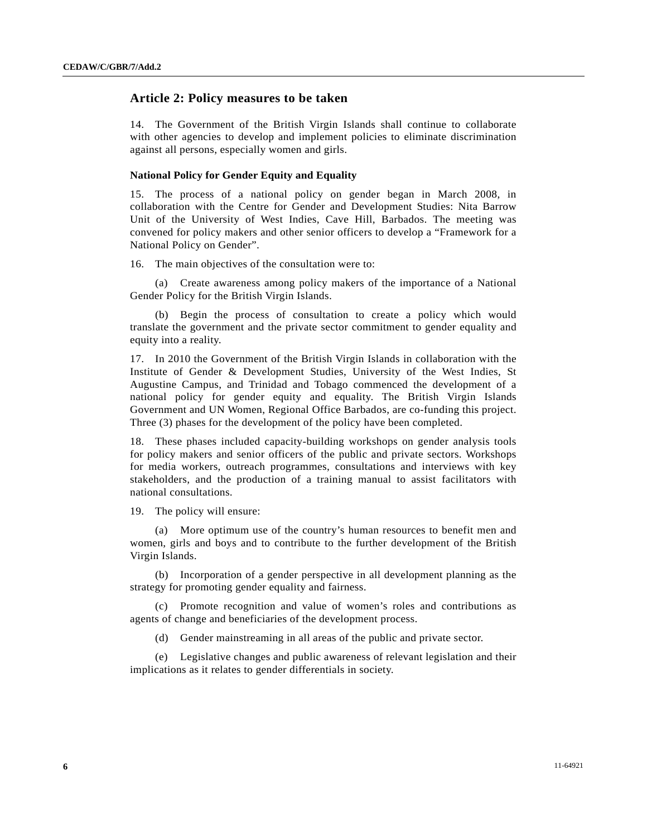# **Article 2: Policy measures to be taken**

14. The Government of the British Virgin Islands shall continue to collaborate with other agencies to develop and implement policies to eliminate discrimination against all persons, especially women and girls.

# **National Policy for Gender Equity and Equality**

15. The process of a national policy on gender began in March 2008, in collaboration with the Centre for Gender and Development Studies: Nita Barrow Unit of the University of West Indies, Cave Hill, Barbados. The meeting was convened for policy makers and other senior officers to develop a "Framework for a National Policy on Gender".

16. The main objectives of the consultation were to:

 (a) Create awareness among policy makers of the importance of a National Gender Policy for the British Virgin Islands.

 (b) Begin the process of consultation to create a policy which would translate the government and the private sector commitment to gender equality and equity into a reality.

17. In 2010 the Government of the British Virgin Islands in collaboration with the Institute of Gender & Development Studies, University of the West Indies, St Augustine Campus, and Trinidad and Tobago commenced the development of a national policy for gender equity and equality. The British Virgin Islands Government and UN Women, Regional Office Barbados, are co-funding this project. Three (3) phases for the development of the policy have been completed.

18. These phases included capacity-building workshops on gender analysis tools for policy makers and senior officers of the public and private sectors. Workshops for media workers, outreach programmes, consultations and interviews with key stakeholders, and the production of a training manual to assist facilitators with national consultations.

19. The policy will ensure:

 (a) More optimum use of the country's human resources to benefit men and women, girls and boys and to contribute to the further development of the British Virgin Islands.

 (b) Incorporation of a gender perspective in all development planning as the strategy for promoting gender equality and fairness.

 (c) Promote recognition and value of women's roles and contributions as agents of change and beneficiaries of the development process.

(d) Gender mainstreaming in all areas of the public and private sector.

 (e) Legislative changes and public awareness of relevant legislation and their implications as it relates to gender differentials in society.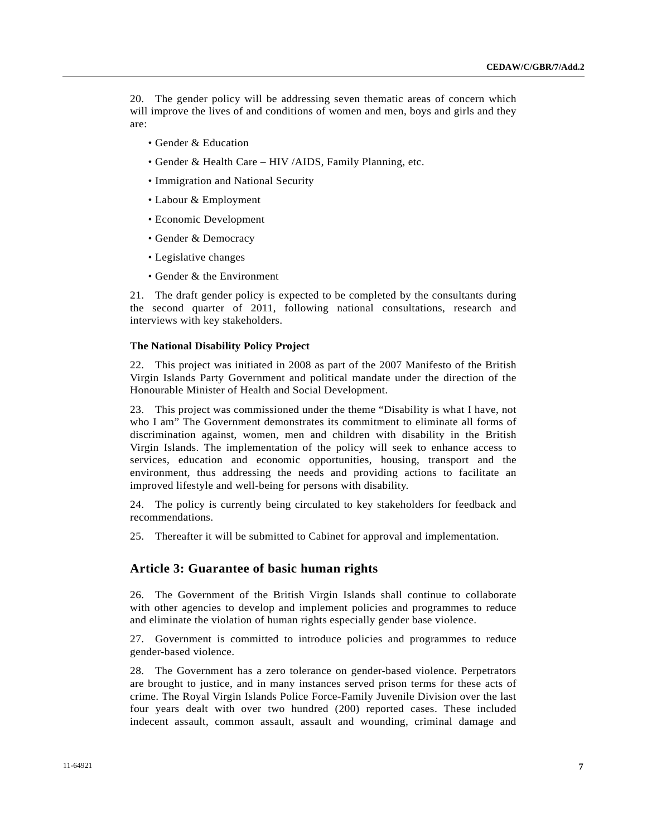20. The gender policy will be addressing seven thematic areas of concern which will improve the lives of and conditions of women and men, boys and girls and they are:

- Gender & Education
- Gender & Health Care HIV /AIDS, Family Planning, etc.
- Immigration and National Security
- Labour & Employment
- Economic Development
- Gender & Democracy
- Legislative changes
- Gender & the Environment

21. The draft gender policy is expected to be completed by the consultants during the second quarter of 2011, following national consultations, research and interviews with key stakeholders.

### **The National Disability Policy Project**

22. This project was initiated in 2008 as part of the 2007 Manifesto of the British Virgin Islands Party Government and political mandate under the direction of the Honourable Minister of Health and Social Development.

23. This project was commissioned under the theme "Disability is what I have, not who I am" The Government demonstrates its commitment to eliminate all forms of discrimination against, women, men and children with disability in the British Virgin Islands. The implementation of the policy will seek to enhance access to services, education and economic opportunities, housing, transport and the environment, thus addressing the needs and providing actions to facilitate an improved lifestyle and well-being for persons with disability.

24. The policy is currently being circulated to key stakeholders for feedback and recommendations.

25. Thereafter it will be submitted to Cabinet for approval and implementation.

# **Article 3: Guarantee of basic human rights**

26. The Government of the British Virgin Islands shall continue to collaborate with other agencies to develop and implement policies and programmes to reduce and eliminate the violation of human rights especially gender base violence.

27. Government is committed to introduce policies and programmes to reduce gender-based violence.

28. The Government has a zero tolerance on gender-based violence. Perpetrators are brought to justice, and in many instances served prison terms for these acts of crime. The Royal Virgin Islands Police Force-Family Juvenile Division over the last four years dealt with over two hundred (200) reported cases. These included indecent assault, common assault, assault and wounding, criminal damage and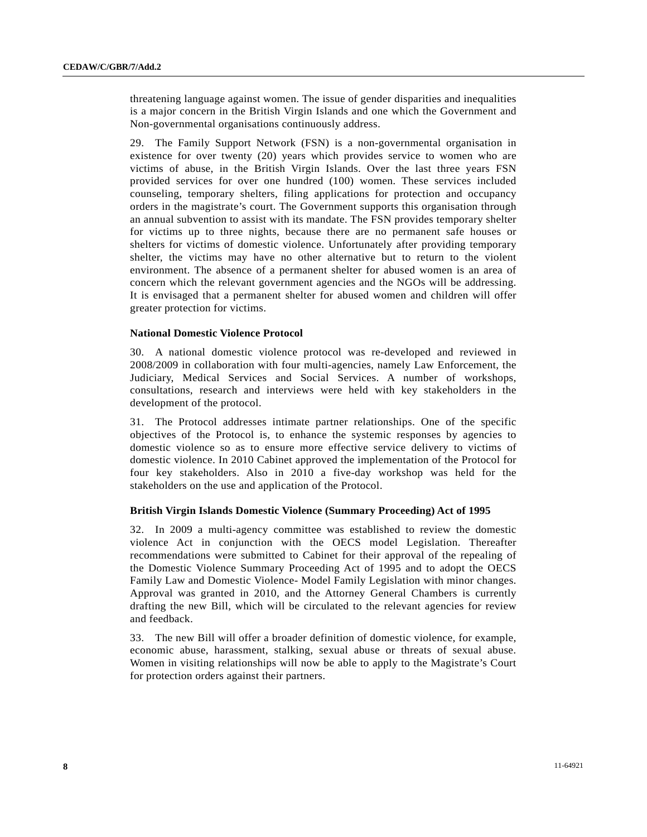threatening language against women. The issue of gender disparities and inequalities is a major concern in the British Virgin Islands and one which the Government and Non-governmental organisations continuously address.

29. The Family Support Network (FSN) is a non-governmental organisation in existence for over twenty (20) years which provides service to women who are victims of abuse, in the British Virgin Islands. Over the last three years FSN provided services for over one hundred (100) women. These services included counseling, temporary shelters, filing applications for protection and occupancy orders in the magistrate's court. The Government supports this organisation through an annual subvention to assist with its mandate. The FSN provides temporary shelter for victims up to three nights, because there are no permanent safe houses or shelters for victims of domestic violence. Unfortunately after providing temporary shelter, the victims may have no other alternative but to return to the violent environment. The absence of a permanent shelter for abused women is an area of concern which the relevant government agencies and the NGOs will be addressing. It is envisaged that a permanent shelter for abused women and children will offer greater protection for victims.

# **National Domestic Violence Protocol**

30. A national domestic violence protocol was re-developed and reviewed in 2008/2009 in collaboration with four multi-agencies, namely Law Enforcement, the Judiciary, Medical Services and Social Services. A number of workshops, consultations, research and interviews were held with key stakeholders in the development of the protocol.

31. The Protocol addresses intimate partner relationships. One of the specific objectives of the Protocol is, to enhance the systemic responses by agencies to domestic violence so as to ensure more effective service delivery to victims of domestic violence. In 2010 Cabinet approved the implementation of the Protocol for four key stakeholders. Also in 2010 a five-day workshop was held for the stakeholders on the use and application of the Protocol.

# **British Virgin Islands Domestic Violence (Summary Proceeding) Act of 1995**

32. In 2009 a multi-agency committee was established to review the domestic violence Act in conjunction with the OECS model Legislation. Thereafter recommendations were submitted to Cabinet for their approval of the repealing of the Domestic Violence Summary Proceeding Act of 1995 and to adopt the OECS Family Law and Domestic Violence- Model Family Legislation with minor changes. Approval was granted in 2010, and the Attorney General Chambers is currently drafting the new Bill, which will be circulated to the relevant agencies for review and feedback.

33. The new Bill will offer a broader definition of domestic violence, for example, economic abuse, harassment, stalking, sexual abuse or threats of sexual abuse. Women in visiting relationships will now be able to apply to the Magistrate's Court for protection orders against their partners.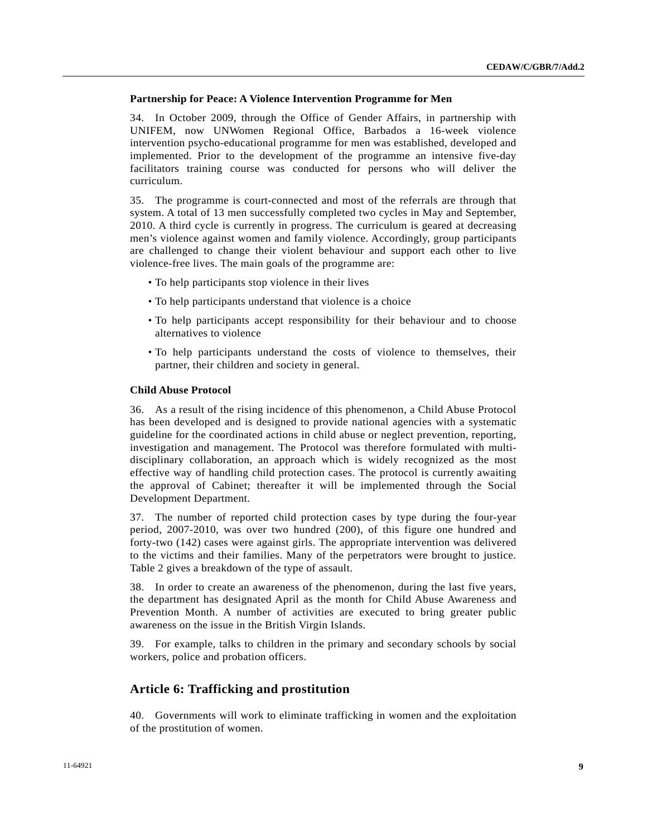### **Partnership for Peace: A Violence Intervention Programme for Men**

34. In October 2009, through the Office of Gender Affairs, in partnership with UNIFEM, now UNWomen Regional Office, Barbados a 16-week violence intervention psycho-educational programme for men was established, developed and implemented. Prior to the development of the programme an intensive five-day facilitators training course was conducted for persons who will deliver the curriculum.

35. The programme is court-connected and most of the referrals are through that system. A total of 13 men successfully completed two cycles in May and September, 2010. A third cycle is currently in progress. The curriculum is geared at decreasing men's violence against women and family violence. Accordingly, group participants are challenged to change their violent behaviour and support each other to live violence-free lives. The main goals of the programme are:

- To help participants stop violence in their lives
- To help participants understand that violence is a choice
- To help participants accept responsibility for their behaviour and to choose alternatives to violence
- To help participants understand the costs of violence to themselves, their partner, their children and society in general.

### **Child Abuse Protocol**

36. As a result of the rising incidence of this phenomenon, a Child Abuse Protocol has been developed and is designed to provide national agencies with a systematic guideline for the coordinated actions in child abuse or neglect prevention, reporting, investigation and management. The Protocol was therefore formulated with multidisciplinary collaboration, an approach which is widely recognized as the most effective way of handling child protection cases. The protocol is currently awaiting the approval of Cabinet; thereafter it will be implemented through the Social Development Department.

37. The number of reported child protection cases by type during the four-year period, 2007-2010, was over two hundred (200), of this figure one hundred and forty-two (142) cases were against girls. The appropriate intervention was delivered to the victims and their families. Many of the perpetrators were brought to justice. Table 2 gives a breakdown of the type of assault.

38. In order to create an awareness of the phenomenon, during the last five years, the department has designated April as the month for Child Abuse Awareness and Prevention Month. A number of activities are executed to bring greater public awareness on the issue in the British Virgin Islands.

39. For example, talks to children in the primary and secondary schools by social workers, police and probation officers.

# **Article 6: Trafficking and prostitution**

40. Governments will work to eliminate trafficking in women and the exploitation of the prostitution of women.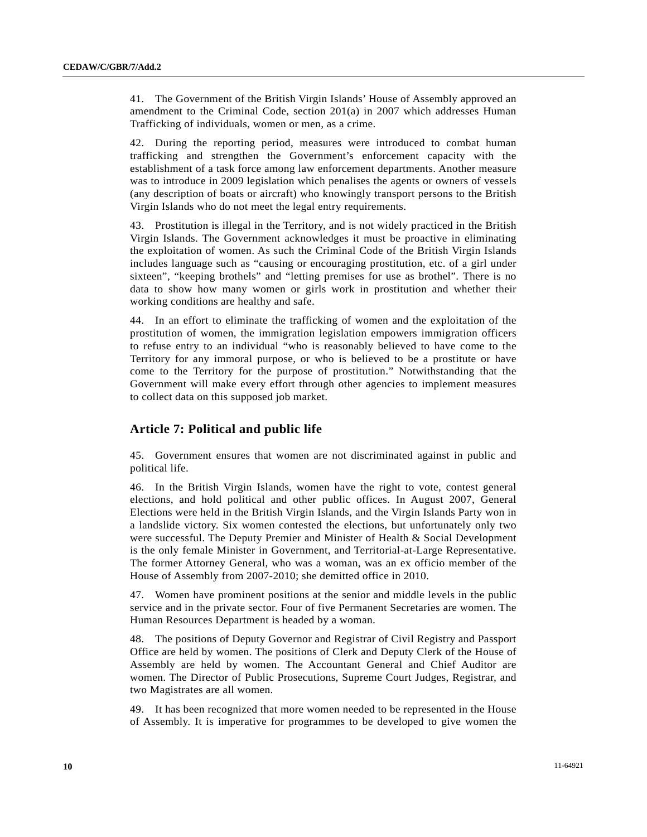41. The Government of the British Virgin Islands' House of Assembly approved an amendment to the Criminal Code, section 201(a) in 2007 which addresses Human Trafficking of individuals, women or men, as a crime.

42. During the reporting period, measures were introduced to combat human trafficking and strengthen the Government's enforcement capacity with the establishment of a task force among law enforcement departments. Another measure was to introduce in 2009 legislation which penalises the agents or owners of vessels (any description of boats or aircraft) who knowingly transport persons to the British Virgin Islands who do not meet the legal entry requirements.

43. Prostitution is illegal in the Territory, and is not widely practiced in the British Virgin Islands. The Government acknowledges it must be proactive in eliminating the exploitation of women. As such the Criminal Code of the British Virgin Islands includes language such as "causing or encouraging prostitution, etc. of a girl under sixteen", "keeping brothels" and "letting premises for use as brothel". There is no data to show how many women or girls work in prostitution and whether their working conditions are healthy and safe.

44. In an effort to eliminate the trafficking of women and the exploitation of the prostitution of women, the immigration legislation empowers immigration officers to refuse entry to an individual "who is reasonably believed to have come to the Territory for any immoral purpose, or who is believed to be a prostitute or have come to the Territory for the purpose of prostitution." Notwithstanding that the Government will make every effort through other agencies to implement measures to collect data on this supposed job market.

# **Article 7: Political and public life**

45. Government ensures that women are not discriminated against in public and political life.

46. In the British Virgin Islands, women have the right to vote, contest general elections, and hold political and other public offices. In August 2007, General Elections were held in the British Virgin Islands, and the Virgin Islands Party won in a landslide victory. Six women contested the elections, but unfortunately only two were successful. The Deputy Premier and Minister of Health & Social Development is the only female Minister in Government, and Territorial-at-Large Representative. The former Attorney General, who was a woman, was an ex officio member of the House of Assembly from 2007-2010; she demitted office in 2010.

47. Women have prominent positions at the senior and middle levels in the public service and in the private sector. Four of five Permanent Secretaries are women. The Human Resources Department is headed by a woman.

48. The positions of Deputy Governor and Registrar of Civil Registry and Passport Office are held by women. The positions of Clerk and Deputy Clerk of the House of Assembly are held by women. The Accountant General and Chief Auditor are women. The Director of Public Prosecutions, Supreme Court Judges, Registrar, and two Magistrates are all women.

49. It has been recognized that more women needed to be represented in the House of Assembly. It is imperative for programmes to be developed to give women the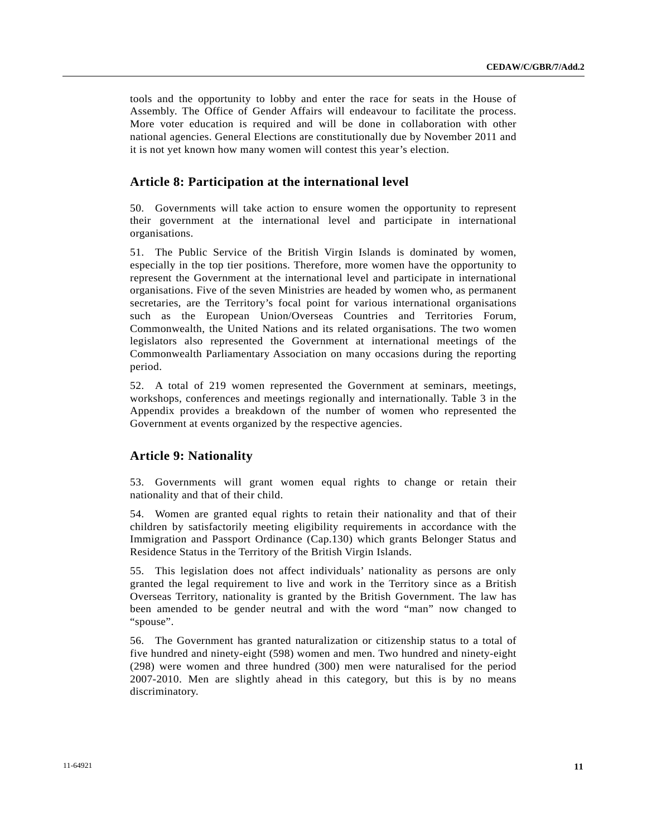tools and the opportunity to lobby and enter the race for seats in the House of Assembly. The Office of Gender Affairs will endeavour to facilitate the process. More voter education is required and will be done in collaboration with other national agencies. General Elections are constitutionally due by November 2011 and it is not yet known how many women will contest this year's election.

# **Article 8: Participation at the international level**

50. Governments will take action to ensure women the opportunity to represent their government at the international level and participate in international organisations.

51. The Public Service of the British Virgin Islands is dominated by women, especially in the top tier positions. Therefore, more women have the opportunity to represent the Government at the international level and participate in international organisations. Five of the seven Ministries are headed by women who, as permanent secretaries, are the Territory's focal point for various international organisations such as the European Union/Overseas Countries and Territories Forum, Commonwealth, the United Nations and its related organisations. The two women legislators also represented the Government at international meetings of the Commonwealth Parliamentary Association on many occasions during the reporting period.

52. A total of 219 women represented the Government at seminars, meetings, workshops, conferences and meetings regionally and internationally. Table 3 in the Appendix provides a breakdown of the number of women who represented the Government at events organized by the respective agencies.

# **Article 9: Nationality**

53. Governments will grant women equal rights to change or retain their nationality and that of their child.

54. Women are granted equal rights to retain their nationality and that of their children by satisfactorily meeting eligibility requirements in accordance with the Immigration and Passport Ordinance (Cap.130) which grants Belonger Status and Residence Status in the Territory of the British Virgin Islands.

55. This legislation does not affect individuals' nationality as persons are only granted the legal requirement to live and work in the Territory since as a British Overseas Territory, nationality is granted by the British Government. The law has been amended to be gender neutral and with the word "man" now changed to "spouse".

56. The Government has granted naturalization or citizenship status to a total of five hundred and ninety-eight (598) women and men. Two hundred and ninety-eight (298) were women and three hundred (300) men were naturalised for the period 2007-2010. Men are slightly ahead in this category, but this is by no means discriminatory.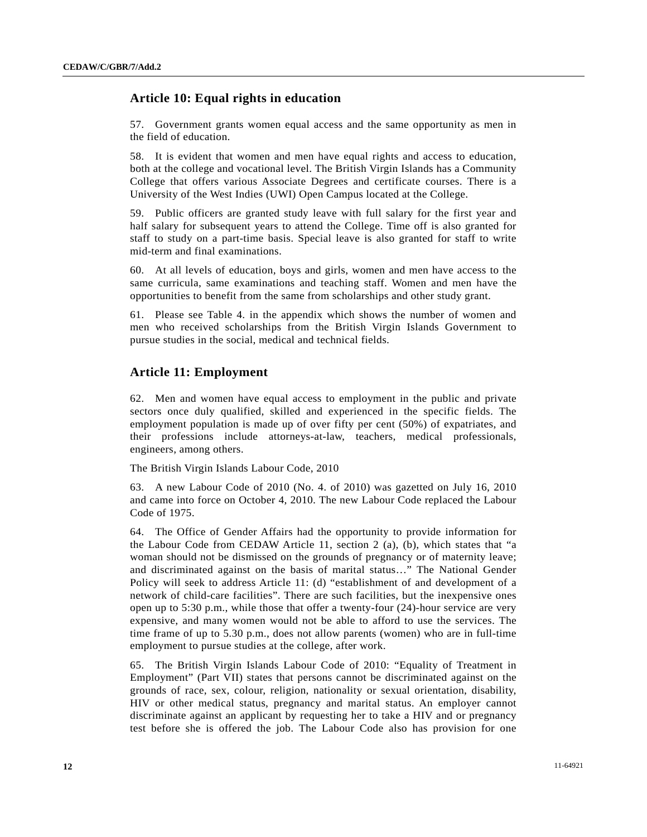# **Article 10: Equal rights in education**

57. Government grants women equal access and the same opportunity as men in the field of education.

58. It is evident that women and men have equal rights and access to education, both at the college and vocational level. The British Virgin Islands has a Community College that offers various Associate Degrees and certificate courses. There is a University of the West Indies (UWI) Open Campus located at the College.

59. Public officers are granted study leave with full salary for the first year and half salary for subsequent years to attend the College. Time off is also granted for staff to study on a part-time basis. Special leave is also granted for staff to write mid-term and final examinations.

60. At all levels of education, boys and girls, women and men have access to the same curricula, same examinations and teaching staff. Women and men have the opportunities to benefit from the same from scholarships and other study grant.

61. Please see Table 4. in the appendix which shows the number of women and men who received scholarships from the British Virgin Islands Government to pursue studies in the social, medical and technical fields.

# **Article 11: Employment**

62. Men and women have equal access to employment in the public and private sectors once duly qualified, skilled and experienced in the specific fields. The employment population is made up of over fifty per cent (50%) of expatriates, and their professions include attorneys-at-law, teachers, medical professionals, engineers, among others.

The British Virgin Islands Labour Code, 2010

63. A new Labour Code of 2010 (No. 4. of 2010) was gazetted on July 16, 2010 and came into force on October 4, 2010. The new Labour Code replaced the Labour Code of 1975.

64. The Office of Gender Affairs had the opportunity to provide information for the Labour Code from CEDAW Article 11, section 2 (a), (b), which states that "a woman should not be dismissed on the grounds of pregnancy or of maternity leave; and discriminated against on the basis of marital status…" The National Gender Policy will seek to address Article 11: (d) "establishment of and development of a network of child-care facilities". There are such facilities, but the inexpensive ones open up to 5:30 p.m., while those that offer a twenty-four (24)-hour service are very expensive, and many women would not be able to afford to use the services. The time frame of up to 5.30 p.m., does not allow parents (women) who are in full-time employment to pursue studies at the college, after work.

65. The British Virgin Islands Labour Code of 2010: "Equality of Treatment in Employment" (Part VII) states that persons cannot be discriminated against on the grounds of race, sex, colour, religion, nationality or sexual orientation, disability, HIV or other medical status, pregnancy and marital status. An employer cannot discriminate against an applicant by requesting her to take a HIV and or pregnancy test before she is offered the job. The Labour Code also has provision for one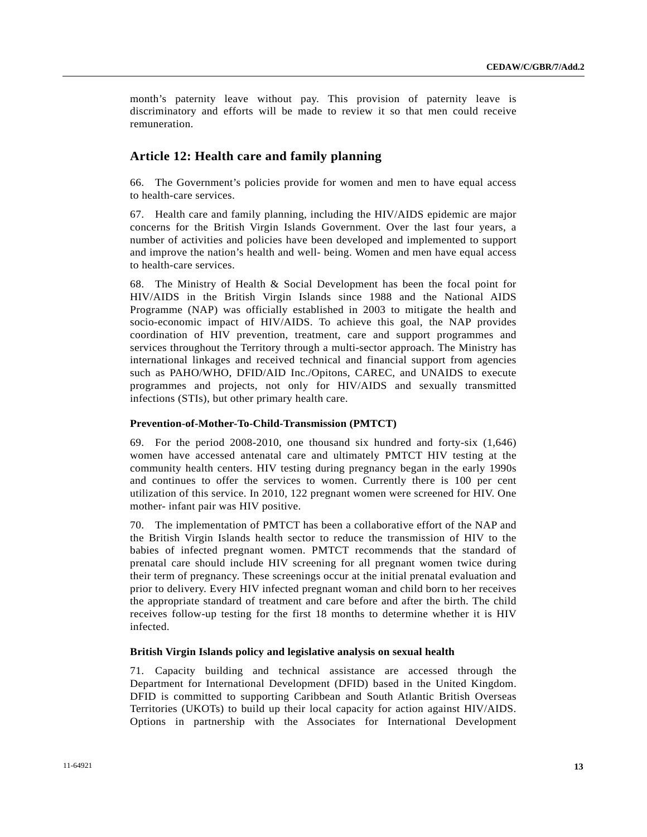month's paternity leave without pay. This provision of paternity leave is discriminatory and efforts will be made to review it so that men could receive remuneration.

# **Article 12: Health care and family planning**

66. The Government's policies provide for women and men to have equal access to health-care services.

67. Health care and family planning, including the HIV/AIDS epidemic are major concerns for the British Virgin Islands Government. Over the last four years, a number of activities and policies have been developed and implemented to support and improve the nation's health and well- being. Women and men have equal access to health-care services.

68. The Ministry of Health & Social Development has been the focal point for HIV/AIDS in the British Virgin Islands since 1988 and the National AIDS Programme (NAP) was officially established in 2003 to mitigate the health and socio-economic impact of HIV/AIDS. To achieve this goal, the NAP provides coordination of HIV prevention, treatment, care and support programmes and services throughout the Territory through a multi-sector approach. The Ministry has international linkages and received technical and financial support from agencies such as PAHO/WHO, DFID/AID Inc./Opitons, CAREC, and UNAIDS to execute programmes and projects, not only for HIV/AIDS and sexually transmitted infections (STIs), but other primary health care.

# **Prevention-of-Mother-To-Child-Transmission (PMTCT)**

69. For the period 2008-2010, one thousand six hundred and forty-six (1,646) women have accessed antenatal care and ultimately PMTCT HIV testing at the community health centers. HIV testing during pregnancy began in the early 1990s and continues to offer the services to women. Currently there is 100 per cent utilization of this service. In 2010, 122 pregnant women were screened for HIV. One mother- infant pair was HIV positive.

70. The implementation of PMTCT has been a collaborative effort of the NAP and the British Virgin Islands health sector to reduce the transmission of HIV to the babies of infected pregnant women. PMTCT recommends that the standard of prenatal care should include HIV screening for all pregnant women twice during their term of pregnancy. These screenings occur at the initial prenatal evaluation and prior to delivery. Every HIV infected pregnant woman and child born to her receives the appropriate standard of treatment and care before and after the birth. The child receives follow-up testing for the first 18 months to determine whether it is HIV infected.

### **British Virgin Islands policy and legislative analysis on sexual health**

71. Capacity building and technical assistance are accessed through the Department for International Development (DFID) based in the United Kingdom. DFID is committed to supporting Caribbean and South Atlantic British Overseas Territories (UKOTs) to build up their local capacity for action against HIV/AIDS. Options in partnership with the Associates for International Development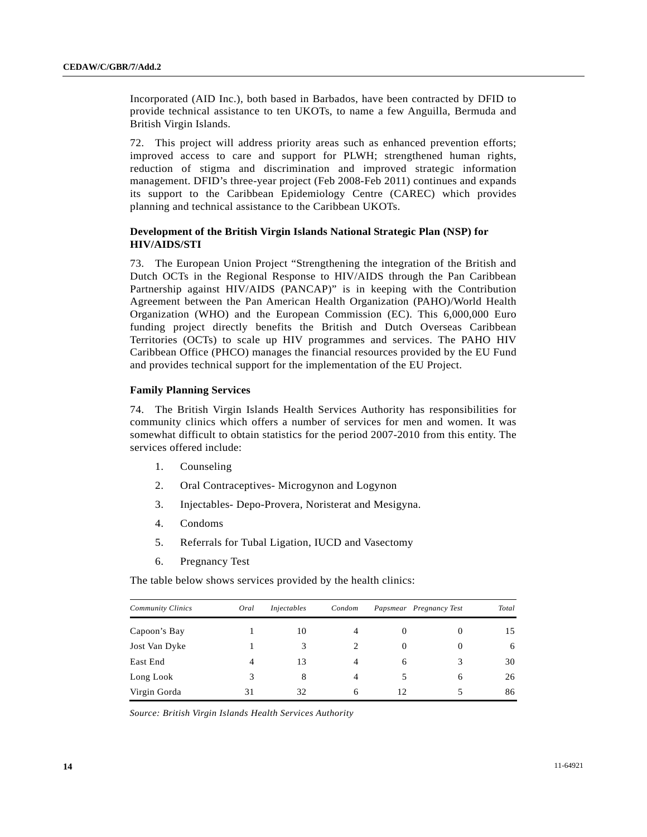Incorporated (AID Inc.), both based in Barbados, have been contracted by DFID to provide technical assistance to ten UKOTs, to name a few Anguilla, Bermuda and British Virgin Islands.

72. This project will address priority areas such as enhanced prevention efforts; improved access to care and support for PLWH; strengthened human rights, reduction of stigma and discrimination and improved strategic information management. DFID's three-year project (Feb 2008-Feb 2011) continues and expands its support to the Caribbean Epidemiology Centre (CAREC) which provides planning and technical assistance to the Caribbean UKOTs.

# **Development of the British Virgin Islands National Strategic Plan (NSP) for HIV/AIDS/STI**

73. The European Union Project "Strengthening the integration of the British and Dutch OCTs in the Regional Response to HIV/AIDS through the Pan Caribbean Partnership against HIV/AIDS (PANCAP)" is in keeping with the Contribution Agreement between the Pan American Health Organization (PAHO)/World Health Organization (WHO) and the European Commission (EC). This 6,000,000 Euro funding project directly benefits the British and Dutch Overseas Caribbean Territories (OCTs) to scale up HIV programmes and services. The PAHO HIV Caribbean Office (PHCO) manages the financial resources provided by the EU Fund and provides technical support for the implementation of the EU Project.

# **Family Planning Services**

74. The British Virgin Islands Health Services Authority has responsibilities for community clinics which offers a number of services for men and women. It was somewhat difficult to obtain statistics for the period 2007-2010 from this entity. The services offered include:

- 1. Counseling
- 2. Oral Contraceptives- Microgynon and Logynon
- 3. Injectables- Depo-Provera, Noristerat and Mesigyna.
- 4. Condoms
- 5. Referrals for Tubal Ligation, IUCD and Vasectomy
- 6. Pregnancy Test

The table below shows services provided by the health clinics:

| <b>Community Clinics</b> | Oral | <i>Injectables</i> | Condom |          | Papsmear Pregnancy Test | Total |
|--------------------------|------|--------------------|--------|----------|-------------------------|-------|
| Capoon's Bay             |      | 10                 | 4      | $\theta$ |                         | 15    |
| Jost Van Dyke            |      |                    |        | $\Omega$ |                         | 6     |
| East End                 | 4    | 13                 |        | 6        |                         | 30    |
| Long Look                | 3    | 8                  | 4      | 5        | 6                       | 26    |
| Virgin Gorda             | 31   | 32                 | 6      | 12       |                         | 86    |

*Source: British Virgin Islands Health Services Authority*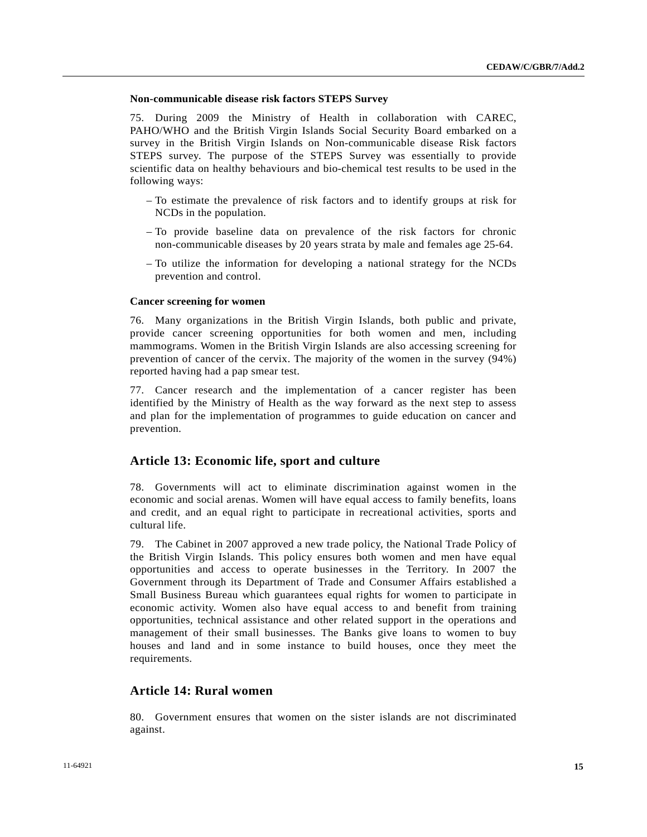### **Non-communicable disease risk factors STEPS Survey**

75. During 2009 the Ministry of Health in collaboration with CAREC, PAHO/WHO and the British Virgin Islands Social Security Board embarked on a survey in the British Virgin Islands on Non-communicable disease Risk factors STEPS survey. The purpose of the STEPS Survey was essentially to provide scientific data on healthy behaviours and bio-chemical test results to be used in the following ways:

- To estimate the prevalence of risk factors and to identify groups at risk for NCDs in the population.
- To provide baseline data on prevalence of the risk factors for chronic non-communicable diseases by 20 years strata by male and females age 25-64.
- To utilize the information for developing a national strategy for the NCDs prevention and control.

# **Cancer screening for women**

76. Many organizations in the British Virgin Islands, both public and private, provide cancer screening opportunities for both women and men, including mammograms. Women in the British Virgin Islands are also accessing screening for prevention of cancer of the cervix. The majority of the women in the survey (94%) reported having had a pap smear test.

77. Cancer research and the implementation of a cancer register has been identified by the Ministry of Health as the way forward as the next step to assess and plan for the implementation of programmes to guide education on cancer and prevention.

# **Article 13: Economic life, sport and culture**

78. Governments will act to eliminate discrimination against women in the economic and social arenas. Women will have equal access to family benefits, loans and credit, and an equal right to participate in recreational activities, sports and cultural life.

79. The Cabinet in 2007 approved a new trade policy, the National Trade Policy of the British Virgin Islands. This policy ensures both women and men have equal opportunities and access to operate businesses in the Territory. In 2007 the Government through its Department of Trade and Consumer Affairs established a Small Business Bureau which guarantees equal rights for women to participate in economic activity. Women also have equal access to and benefit from training opportunities, technical assistance and other related support in the operations and management of their small businesses. The Banks give loans to women to buy houses and land and in some instance to build houses, once they meet the requirements.

# **Article 14: Rural women**

80. Government ensures that women on the sister islands are not discriminated against.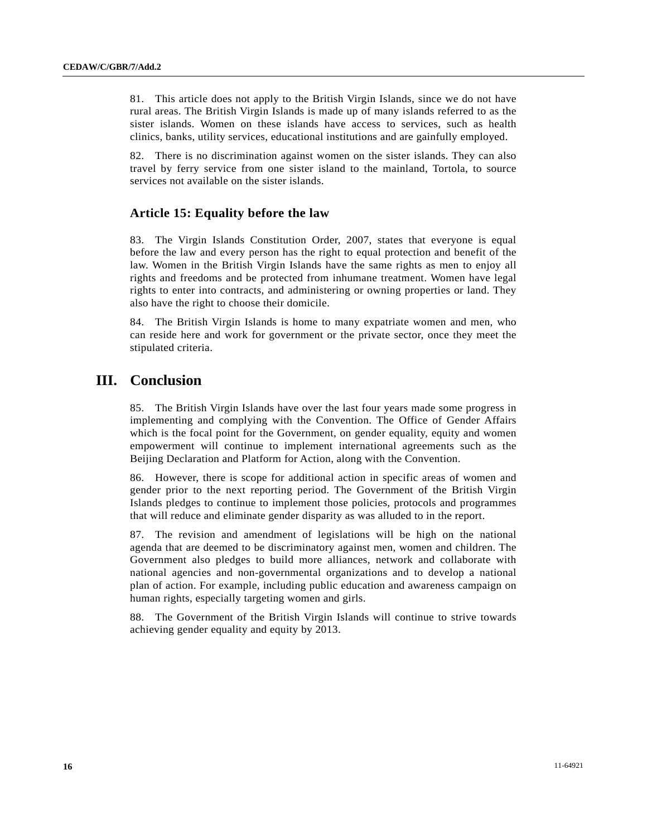81. This article does not apply to the British Virgin Islands, since we do not have rural areas. The British Virgin Islands is made up of many islands referred to as the sister islands. Women on these islands have access to services, such as health clinics, banks, utility services, educational institutions and are gainfully employed.

82. There is no discrimination against women on the sister islands. They can also travel by ferry service from one sister island to the mainland, Tortola, to source services not available on the sister islands.

# **Article 15: Equality before the law**

83. The Virgin Islands Constitution Order, 2007, states that everyone is equal before the law and every person has the right to equal protection and benefit of the law. Women in the British Virgin Islands have the same rights as men to enjoy all rights and freedoms and be protected from inhumane treatment. Women have legal rights to enter into contracts, and administering or owning properties or land. They also have the right to choose their domicile.

84. The British Virgin Islands is home to many expatriate women and men, who can reside here and work for government or the private sector, once they meet the stipulated criteria.

# **III. Conclusion**

85. The British Virgin Islands have over the last four years made some progress in implementing and complying with the Convention. The Office of Gender Affairs which is the focal point for the Government, on gender equality, equity and women empowerment will continue to implement international agreements such as the Beijing Declaration and Platform for Action, along with the Convention.

86. However, there is scope for additional action in specific areas of women and gender prior to the next reporting period. The Government of the British Virgin Islands pledges to continue to implement those policies, protocols and programmes that will reduce and eliminate gender disparity as was alluded to in the report.

87. The revision and amendment of legislations will be high on the national agenda that are deemed to be discriminatory against men, women and children. The Government also pledges to build more alliances, network and collaborate with national agencies and non-governmental organizations and to develop a national plan of action. For example, including public education and awareness campaign on human rights, especially targeting women and girls.

88. The Government of the British Virgin Islands will continue to strive towards achieving gender equality and equity by 2013.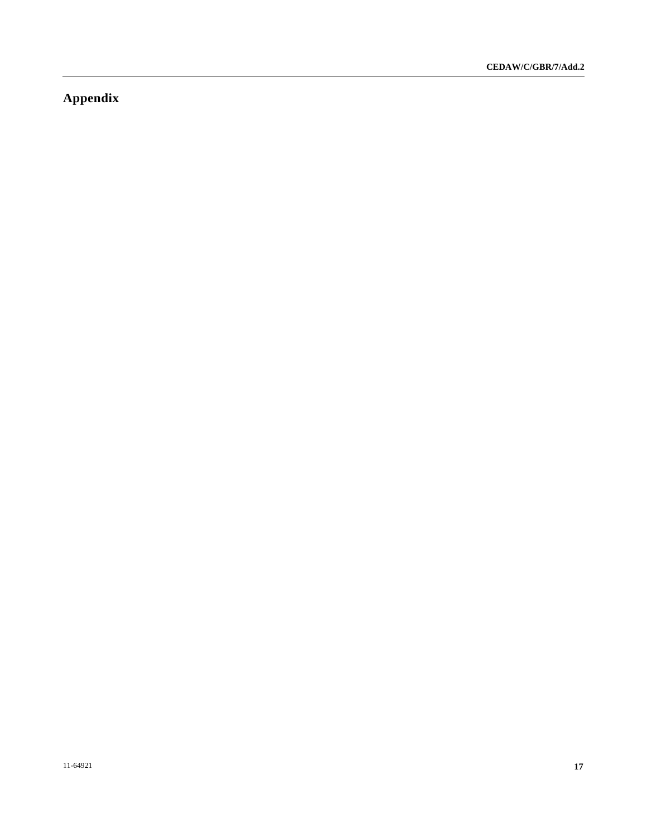# **Appendix**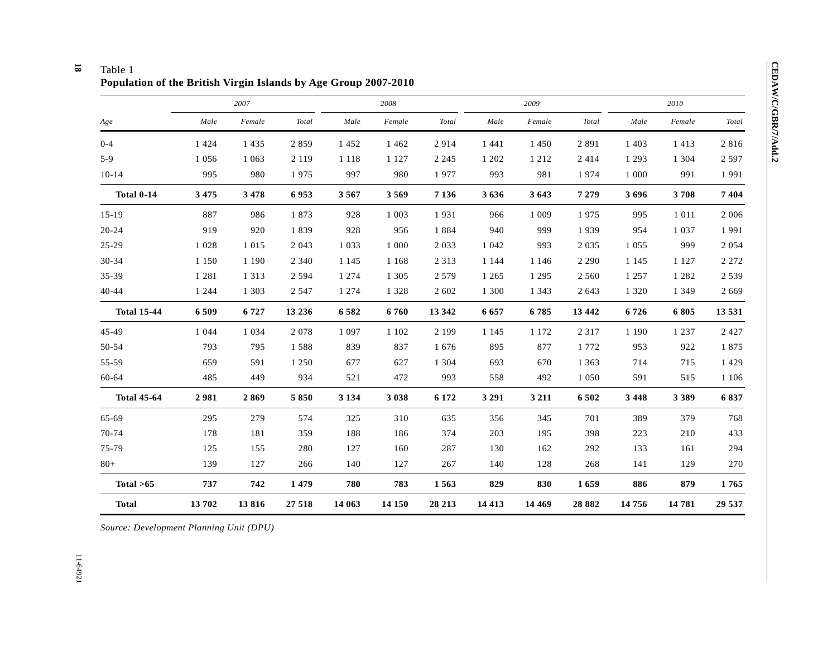### **18**  Table 1

**Population of the British Virgin Islands by Age Group 2007-2010** 

|                    | 2007    |         |         |         | 2008    |         |         | 2009    |          | 2010    |         |                        |  |
|--------------------|---------|---------|---------|---------|---------|---------|---------|---------|----------|---------|---------|------------------------|--|
| Age                | Male    | Female  | Total   | Male    | Female  | Total   | Male    | Female  | Total    | Male    | Female  | $\operatorname{Total}$ |  |
| $0 - 4$            | 1 4 2 4 | 1 4 3 5 | 2859    | 1 4 5 2 | 1 4 6 2 | 2914    | 1 4 4 1 | 1 4 5 0 | 2891     | 1 4 0 3 | 1413    | 2816                   |  |
| $5-9$              | 1056    | 1 0 6 3 | 2 1 1 9 | 1 1 1 8 | 1 1 2 7 | 2 2 4 5 | 1 202   | 1 2 1 2 | 2 4 1 4  | 1 2 9 3 | 1 3 0 4 | 2 5 9 7                |  |
| $10-14$            | 995     | 980     | 1975    | 997     | 980     | 1977    | 993     | 981     | 1974     | 1 0 0 0 | 991     | 1991                   |  |
| <b>Total 0-14</b>  | 3 4 7 5 | 3478    | 6953    | 3567    | 3569    | 7 1 3 6 | 3636    | 3 6 4 3 | 7 2 7 9  | 3696    | 3708    | 7404                   |  |
| $15-19$            | 887     | 986     | 1873    | 928     | 1 0 0 3 | 1931    | 966     | 1 0 0 9 | 1975     | 995     | 1 0 1 1 | 2 0 0 6                |  |
| $20 - 24$          | 919     | 920     | 1839    | 928     | 956     | 1884    | 940     | 999     | 1939     | 954     | 1 0 3 7 | 1991                   |  |
| $25 - 29$          | 1 0 2 8 | 1 0 1 5 | 2 0 4 3 | 1 0 3 3 | 1 000   | 2 0 3 3 | 1 0 4 2 | 993     | 2 0 3 5  | 1 0 5 5 | 999     | 2 0 5 4                |  |
| $30 - 34$          | 1 1 5 0 | 1 1 9 0 | 2 3 4 0 | 1 1 4 5 | 1 1 6 8 | 2 3 1 3 | 1 1 4 4 | 1 1 4 6 | 2 2 9 0  | 1 1 4 5 | 1 1 2 7 | 2 2 7 2                |  |
| 35-39              | 1 2 8 1 | 1 3 1 3 | 2 5 9 4 | 1 2 7 4 | 1 3 0 5 | 2 5 7 9 | 1 2 6 5 | 1 2 9 5 | 2 5 6 0  | 1 2 5 7 | 1 2 8 2 | 2 5 3 9                |  |
| $40 - 44$          | 1 2 4 4 | 1 3 0 3 | 2 5 4 7 | 1 2 7 4 | 1 3 2 8 | 2 602   | 1 300   | 1 3 4 3 | 2 6 4 3  | 1 3 2 0 | 1 3 4 9 | 2 6 6 9                |  |
| <b>Total 15-44</b> | 6 5 0 9 | 6727    | 13 2 36 | 6582    | 6760    | 13 342  | 6 6 5 7 | 6785    | 13 442   | 6726    | 6805    | 13 5 31                |  |
| 45-49              | 1 0 4 4 | 1 0 3 4 | 2078    | 1 0 9 7 | 1 1 0 2 | 2 1 9 9 | 1 1 4 5 | 1 1 7 2 | 2 3 1 7  | 1 1 9 0 | 1 2 3 7 | 2 4 2 7                |  |
| 50-54              | 793     | 795     | 1588    | 839     | 837     | 1676    | 895     | 877     | 1772     | 953     | 922     | 1875                   |  |
| 55-59              | 659     | 591     | 1 2 5 0 | 677     | 627     | 1 3 0 4 | 693     | 670     | 1 3 6 3  | 714     | 715     | 1 4 2 9                |  |
| 60-64              | 485     | 449     | 934     | 521     | 472     | 993     | 558     | 492     | 1 0 5 0  | 591     | 515     | 1 1 0 6                |  |
| <b>Total 45-64</b> | 2981    | 2869    | 5850    | 3 1 3 4 | 3 0 3 8 | 6 172   | 3 2 9 1 | 3 2 1 1 | 6502     | 3 4 4 8 | 3 3 8 9 | 6837                   |  |
| 65-69              | 295     | 279     | 574     | 325     | 310     | 635     | 356     | 345     | 701      | 389     | 379     | 768                    |  |
| 70-74              | 178     | 181     | 359     | 188     | 186     | 374     | 203     | 195     | 398      | 223     | 210     | 433                    |  |
| 75-79              | 125     | 155     | 280     | 127     | 160     | 287     | 130     | 162     | 292      | 133     | 161     | 294                    |  |
| $80 +$             | 139     | 127     | 266     | 140     | 127     | 267     | 140     | 128     | 268      | 141     | 129     | 270                    |  |
| Total >65          | 737     | 742     | 1479    | 780     | 783     | 1563    | 829     | 830     | 1659     | 886     | 879     | 1765                   |  |
| <b>Total</b>       | 13702   | 13816   | 27 518  | 14 063  | 14 150  | 28 213  | 14 4 13 | 14 4 69 | 28 8 8 2 | 14 756  | 14 781  | 29 537                 |  |

*Source: Development Planning Unit (DPU)*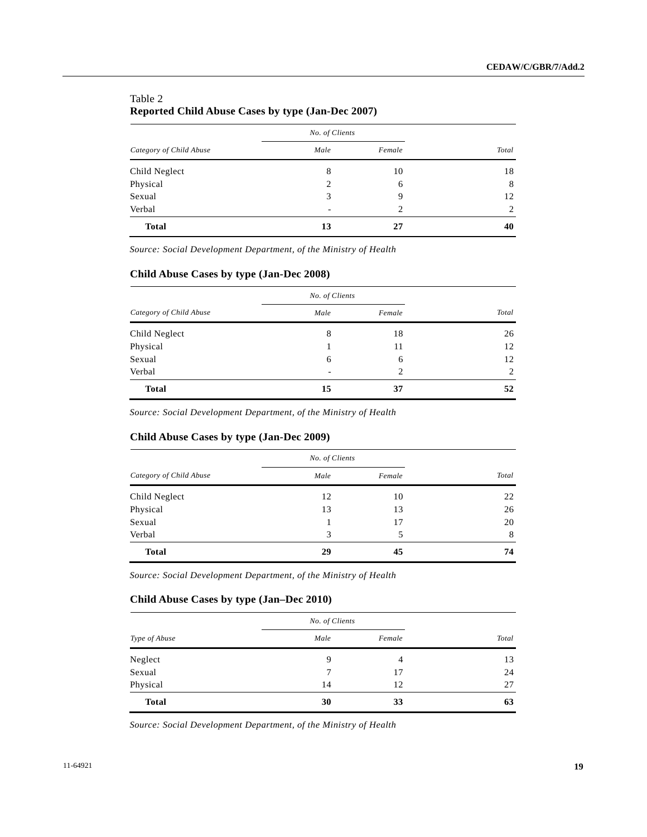# Table 2 **Reported Child Abuse Cases by type (Jan-Dec 2007)**

|                         | No. of Clients |                |       |
|-------------------------|----------------|----------------|-------|
| Category of Child Abuse | Male           | Female         | Total |
| Child Neglect           | 8              | 10             | 18    |
| Physical                | 2              | 6              | 8     |
| Sexual                  | 3              | 9              | 12    |
| Verbal                  | ٠              | $\overline{c}$ | 2     |
| <b>Total</b>            | 13             | 27             | 40    |

*Source: Social Development Department, of the Ministry of Health* 

# **Child Abuse Cases by type (Jan-Dec 2008)**

|                         | No. of Clients           |                |       |
|-------------------------|--------------------------|----------------|-------|
| Category of Child Abuse | Male                     | Female         | Total |
| Child Neglect           | 8                        | 18             | 26    |
| Physical                |                          | 11             | 12    |
| Sexual                  | 6                        | 6              | 12    |
| Verbal                  | $\overline{\phantom{a}}$ | $\overline{c}$ | 2     |
| <b>Total</b>            | 15                       | 37             | 52    |

*Source: Social Development Department, of the Ministry of Health* 

# **Child Abuse Cases by type (Jan-Dec 2009)**

|                         | No. of Clients |        |       |
|-------------------------|----------------|--------|-------|
| Category of Child Abuse | Male           | Female | Total |
| Child Neglect           | 12             | 10     | 22    |
| Physical                | 13             | 13     | 26    |
| Sexual                  |                | 17     | 20    |
| Verbal                  | 3              | 5      | 8     |
| <b>Total</b>            | 29             | 45     | 74    |

*Source: Social Development Department, of the Ministry of Health* 

# **Child Abuse Cases by type (Jan–Dec 2010)**

|               | No. of Clients |        |       |
|---------------|----------------|--------|-------|
| Type of Abuse | Male           | Female | Total |
| Neglect       | 9              | 4      | 13    |
| Sexual        | 7              | 17     | 24    |
| Physical      | 14             | 12     | 27    |
| <b>Total</b>  | 30             | 33     | 63    |

*Source: Social Development Department, of the Ministry of Health*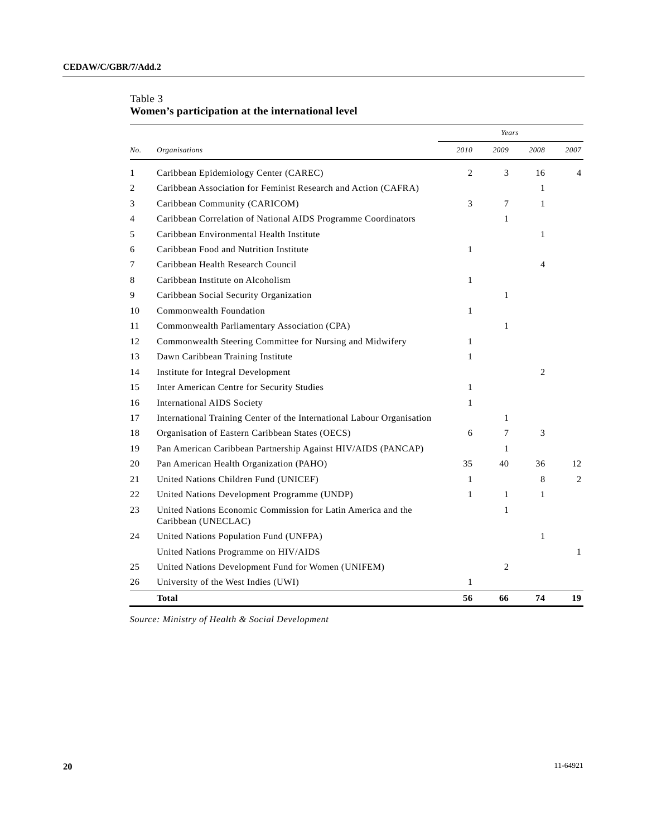|     |                                                                                     |              | Years        |                |                |
|-----|-------------------------------------------------------------------------------------|--------------|--------------|----------------|----------------|
| No. | <b>Organisations</b>                                                                | 2010         | 2009         | 2008           | 2007           |
| 1   | Caribbean Epidemiology Center (CAREC)                                               | $\mathbf{2}$ | 3            | 16             | 4              |
| 2   | Caribbean Association for Feminist Research and Action (CAFRA)                      |              |              | $\mathbf{1}$   |                |
| 3   | Caribbean Community (CARICOM)                                                       | 3            | 7            | $\mathbf{1}$   |                |
| 4   | Caribbean Correlation of National AIDS Programme Coordinators                       |              | 1            |                |                |
| 5   | Caribbean Environmental Health Institute                                            |              |              | $\mathbf{1}$   |                |
| 6   | Caribbean Food and Nutrition Institute                                              | $\mathbf{1}$ |              |                |                |
| 7   | Caribbean Health Research Council                                                   |              |              | $\overline{4}$ |                |
| 8   | Caribbean Institute on Alcoholism                                                   | 1            |              |                |                |
| 9   | Caribbean Social Security Organization                                              |              | $\mathbf{1}$ |                |                |
| 10  | Commonwealth Foundation                                                             | $\mathbf{1}$ |              |                |                |
| 11  | Commonwealth Parliamentary Association (CPA)                                        |              | $\mathbf{1}$ |                |                |
| 12  | Commonwealth Steering Committee for Nursing and Midwifery                           | $\mathbf{1}$ |              |                |                |
| 13  | Dawn Caribbean Training Institute                                                   | 1            |              |                |                |
| 14  | Institute for Integral Development                                                  |              |              | 2              |                |
| 15  | Inter American Centre for Security Studies                                          | $\mathbf{1}$ |              |                |                |
| 16  | <b>International AIDS Society</b>                                                   | $\mathbf{1}$ |              |                |                |
| 17  | International Training Center of the International Labour Organisation              |              | $\mathbf{1}$ |                |                |
| 18  | Organisation of Eastern Caribbean States (OECS)                                     | 6            | 7            | 3              |                |
| 19  | Pan American Caribbean Partnership Against HIV/AIDS (PANCAP)                        |              | 1            |                |                |
| 20  | Pan American Health Organization (PAHO)                                             | 35           | 40           | 36             | 12             |
| 21  | United Nations Children Fund (UNICEF)                                               | $\mathbf{1}$ |              | 8              | $\overline{2}$ |
| 22  | United Nations Development Programme (UNDP)                                         | $\mathbf{1}$ | $\mathbf{1}$ | $\mathbf{1}$   |                |
| 23  | United Nations Economic Commission for Latin America and the<br>Caribbean (UNECLAC) |              | 1            |                |                |
| 24  | United Nations Population Fund (UNFPA)                                              |              |              | 1              |                |
|     | United Nations Programme on HIV/AIDS                                                |              |              |                | $\mathbf{1}$   |
| 25  | United Nations Development Fund for Women (UNIFEM)                                  |              | 2            |                |                |
| 26  | University of the West Indies (UWI)                                                 | 1            |              |                |                |
|     | <b>Total</b>                                                                        | 56           | 66           | 74             | 19             |

# Table 3 **Women's participation at the international level**

*Source: Ministry of Health & Social Development*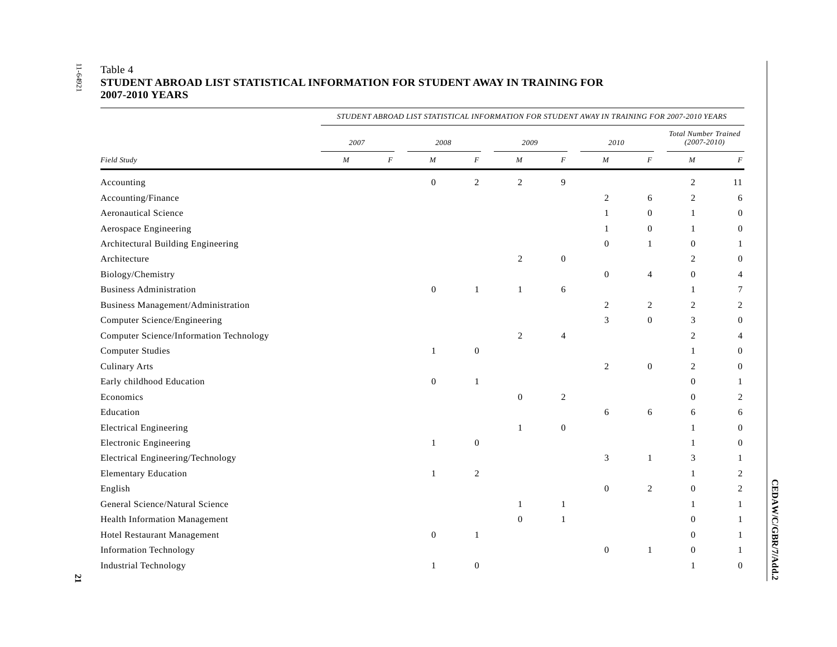# 11-64921

|                                                | STUDENT ABROAD LIST STATISTICAL INFORMATION FOR STUDENT AWAY IN TRAINING FOR 2007-2010 YEARS |          |                  |                  |                  |                |                |                  |                                                |                  |  |  |
|------------------------------------------------|----------------------------------------------------------------------------------------------|----------|------------------|------------------|------------------|----------------|----------------|------------------|------------------------------------------------|------------------|--|--|
|                                                | 2007                                                                                         |          | 2008             |                  | 2009             |                | 2010           |                  | <b>Total Number Trained</b><br>$(2007 - 2010)$ |                  |  |  |
| Field Study                                    | $\cal M$                                                                                     | $\cal F$ | $\cal M$         | $\cal F$         | $\cal M$         | $\cal F$       | $\cal M$       | $\boldsymbol{F}$ | $\cal M$                                       | $\cal F$         |  |  |
| Accounting                                     |                                                                                              |          | $\boldsymbol{0}$ | $\sqrt{2}$       | $\overline{c}$   | 9              |                |                  | 2                                              | 11               |  |  |
| Accounting/Finance                             |                                                                                              |          |                  |                  |                  |                | $\mathfrak{2}$ | 6                | $\overline{c}$                                 | 6                |  |  |
| <b>Aeronautical Science</b>                    |                                                                                              |          |                  |                  |                  |                | $\mathbf{1}$   | $\overline{0}$   | $\mathbf{1}$                                   | $\mathbf{0}$     |  |  |
| Aerospace Engineering                          |                                                                                              |          |                  |                  |                  |                | 1              | $\Omega$         | $\mathbf{1}$                                   | $\mathbf{0}$     |  |  |
| Architectural Building Engineering             |                                                                                              |          |                  |                  |                  |                | $\mathbf{0}$   | $\mathbf{1}$     | $\boldsymbol{0}$                               | $\mathbf{1}$     |  |  |
| Architecture                                   |                                                                                              |          |                  |                  | $\overline{c}$   | $\mathbf{0}$   |                |                  | $\overline{c}$                                 | $\boldsymbol{0}$ |  |  |
| Biology/Chemistry                              |                                                                                              |          |                  |                  |                  |                | $\mathbf{0}$   | $\overline{4}$   | $\mathbf{0}$                                   | $\overline{4}$   |  |  |
| <b>Business Administration</b>                 |                                                                                              |          | $\overline{0}$   | $\mathbf{1}$     | $\mathbf{1}$     | 6              |                |                  | $\mathbf{1}$                                   | $\tau$           |  |  |
| Business Management/Administration             |                                                                                              |          |                  |                  |                  |                | $\overline{c}$ | 2                | 2                                              | $\overline{c}$   |  |  |
| Computer Science/Engineering                   |                                                                                              |          |                  |                  |                  |                | 3              | $\overline{0}$   | 3                                              | $\boldsymbol{0}$ |  |  |
| <b>Computer Science/Information Technology</b> |                                                                                              |          |                  |                  | $\overline{2}$   | $\overline{4}$ |                |                  | $\overline{c}$                                 | $\overline{4}$   |  |  |
| <b>Computer Studies</b>                        |                                                                                              |          | $\mathbf{1}$     | $\boldsymbol{0}$ |                  |                |                |                  | $\mathbf{1}$                                   | $\boldsymbol{0}$ |  |  |
| <b>Culinary Arts</b>                           |                                                                                              |          |                  |                  |                  |                | $\sqrt{2}$     | $\overline{0}$   | $\overline{c}$                                 | $\boldsymbol{0}$ |  |  |
| Early childhood Education                      |                                                                                              |          | $\mathbf{0}$     | $\mathbf{1}$     |                  |                |                |                  | $\overline{0}$                                 | 1                |  |  |
| Economics                                      |                                                                                              |          |                  |                  | $\boldsymbol{0}$ | $\overline{2}$ |                |                  | $\Omega$                                       | $\overline{c}$   |  |  |
| Education                                      |                                                                                              |          |                  |                  |                  |                | 6              | 6                | 6                                              | 6                |  |  |
| <b>Electrical Engineering</b>                  |                                                                                              |          |                  |                  | $\mathbf{1}$     | $\theta$       |                |                  | $\mathbf{1}$                                   | $\mathbf{0}$     |  |  |
| <b>Electronic Engineering</b>                  |                                                                                              |          | $\mathbf{1}$     | $\mathbf{0}$     |                  |                |                |                  | 1                                              | $\mathbf{0}$     |  |  |
| Electrical Engineering/Technology              |                                                                                              |          |                  |                  |                  |                | 3              | $\mathbf{1}$     | 3                                              | $\mathbf{1}$     |  |  |
| <b>Elementary Education</b>                    |                                                                                              |          | $\mathbf{1}$     | $\sqrt{2}$       |                  |                |                |                  | $\mathbf{1}$                                   | $\overline{c}$   |  |  |
| English                                        |                                                                                              |          |                  |                  |                  |                | $\mathbf{0}$   | $\overline{c}$   | $\boldsymbol{0}$                               | $\sqrt{2}$       |  |  |
| General Science/Natural Science                |                                                                                              |          |                  |                  | $\mathbf{1}$     | 1              |                |                  | $\mathbf{1}$                                   | $\mathbf{1}$     |  |  |
| <b>Health Information Management</b>           |                                                                                              |          |                  |                  | $\boldsymbol{0}$ | 1              |                |                  | $\mathbf{0}$                                   | $\mathbf{1}$     |  |  |
| Hotel Restaurant Management                    |                                                                                              |          | $\overline{0}$   | $\mathbf{1}$     |                  |                |                |                  | $\Omega$                                       | $\mathbf{1}$     |  |  |
| <b>Information Technology</b>                  |                                                                                              |          |                  |                  |                  |                | $\mathbf{0}$   | $\mathbf{1}$     | $\mathbf{0}$                                   | $\mathbf{1}$     |  |  |
| Industrial Technology                          |                                                                                              |          | $\mathbf{1}$     | $\mathbf{0}$     |                  |                |                |                  | $\mathbf{1}$                                   | $\theta$         |  |  |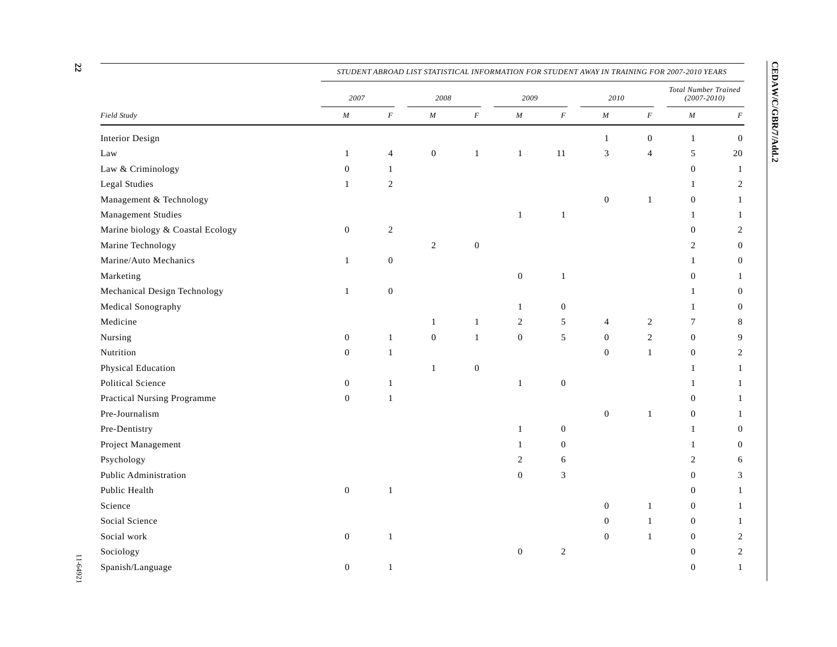|                                  |                  |                  |                  |                  |                  |                  |                             |                | STUDENT ABROAD LIST STATISTICAL INFORMATION FOR STUDENT AWAY IN TRAINING FOR 2007-2010 YEARS |                |
|----------------------------------|------------------|------------------|------------------|------------------|------------------|------------------|-----------------------------|----------------|----------------------------------------------------------------------------------------------|----------------|
|                                  | 2007             |                  | 2008             |                  | 2009             |                  | 2010                        |                | Total Number Trained<br>$(2007 - 2010)$                                                      |                |
| Field Study                      | $\cal M$         | $\cal F$         | $\cal M$         | $\cal F$         | $\cal M$         | $\cal F$         | $\cal M$                    | $\cal F$       | $\cal M$                                                                                     | $\cal F$       |
| <b>Interior Design</b>           |                  |                  |                  |                  |                  |                  | $\mathbf{1}$                | $\mathbf{0}$   | $\mathbf{1}$                                                                                 | $\mathbf{0}$   |
| Law                              | $\mathbf{1}$     | $\overline{4}$   | $\boldsymbol{0}$ | $\mathbf{1}$     | $\,1\,$          | 11               | $\ensuremath{\mathfrak{Z}}$ | $\overline{4}$ | $\sqrt{5}$                                                                                   | $20\,$         |
| Law & Criminology                | $\boldsymbol{0}$ | $\mathbf{1}$     |                  |                  |                  |                  |                             |                | $\mathbf{0}$                                                                                 | 1              |
| <b>Legal Studies</b>             | $\mathbf{1}$     | $\mathbf{2}$     |                  |                  |                  |                  |                             |                | 1                                                                                            | 2              |
| Management & Technology          |                  |                  |                  |                  |                  |                  | $\boldsymbol{0}$            | $\mathbf{1}$   | $\mathbf{0}$                                                                                 | $\mathbf{1}$   |
| Management Studies               |                  |                  |                  |                  | $\mathbf{1}$     | $\mathbf{1}$     |                             |                | $\mathbf{1}$                                                                                 | 1              |
| Marine biology & Coastal Ecology | $\boldsymbol{0}$ | $\sqrt{2}$       |                  |                  |                  |                  |                             |                | $\mathbf{0}$                                                                                 | $\overline{c}$ |
| Marine Technology                |                  |                  | $\overline{c}$   | $\boldsymbol{0}$ |                  |                  |                             |                | $\overline{c}$                                                                               | $\mathbf{0}$   |
| Marine/Auto Mechanics            | $\mathbf{1}$     | $\boldsymbol{0}$ |                  |                  |                  |                  |                             |                | 1                                                                                            | $\mathbf{0}$   |
| Marketing                        |                  |                  |                  |                  | $\boldsymbol{0}$ | $\mathbf{1}$     |                             |                | $\mathbf{0}$                                                                                 | 1              |
| Mechanical Design Technology     | $\mathbf{1}$     | $\boldsymbol{0}$ |                  |                  |                  |                  |                             |                | 1                                                                                            | $\overline{0}$ |
| Medical Sonography               |                  |                  |                  |                  | 1                | $\boldsymbol{0}$ |                             |                | 1                                                                                            | $\overline{0}$ |
| Medicine                         |                  |                  | $\mathbf{1}$     | $\mathbf{1}$     | $\sqrt{2}$       | $\sqrt{5}$       | 4                           | 2              | 7                                                                                            | 8              |
| Nursing                          | $\mathbf{0}$     | $\mathbf{1}$     | $\boldsymbol{0}$ | $\mathbf{1}$     | $\boldsymbol{0}$ | 5                | $\boldsymbol{0}$            | $\overline{2}$ | $\mathbf{0}$                                                                                 | 9              |
| Nutrition                        | $\theta$         | $\mathbf{1}$     |                  |                  |                  |                  | $\boldsymbol{0}$            | $\mathbf{1}$   | $\mathbf{0}$                                                                                 | $\mathbf{2}$   |
| Physical Education               |                  |                  | $\mathbf{1}$     | $\boldsymbol{0}$ |                  |                  |                             |                | $\mathbf{1}$                                                                                 | 1              |
| Political Science                | $\mathbf{0}$     | $\mathbf{1}$     |                  |                  | $\mathbf{1}$     | $\boldsymbol{0}$ |                             |                | 1                                                                                            | 1              |
| Practical Nursing Programme      | $\mathbf{0}$     | $\mathbf{1}$     |                  |                  |                  |                  |                             |                | $\theta$                                                                                     | 1              |
| Pre-Journalism                   |                  |                  |                  |                  |                  |                  | $\mathbf{0}$                | $\mathbf{1}$   | $\overline{0}$                                                                               | 1              |
| Pre-Dentistry                    |                  |                  |                  |                  | 1                | $\boldsymbol{0}$ |                             |                | $\mathbf{1}$                                                                                 | $\mathbf{0}$   |
| Project Management               |                  |                  |                  |                  | $\mathbf{1}$     | $\boldsymbol{0}$ |                             |                | 1                                                                                            | $\mathbf{0}$   |
| Psychology                       |                  |                  |                  |                  | 2                | 6                |                             |                | 2                                                                                            | 6              |
| Public Administration            |                  |                  |                  |                  | $\boldsymbol{0}$ | 3                |                             |                | $\overline{0}$                                                                               | 3              |
| Public Health                    | $\boldsymbol{0}$ | $\mathbf{1}$     |                  |                  |                  |                  |                             |                | $\theta$                                                                                     | $\mathbf{1}$   |
| Science                          |                  |                  |                  |                  |                  |                  | $\mathbf{0}$                | $\mathbf{1}$   | $\overline{0}$                                                                               | 1              |
| Social Science                   |                  |                  |                  |                  |                  |                  | $\mathbf{0}$                | $\mathbf{1}$   | $\overline{0}$                                                                               | 1              |
| Social work                      | $\boldsymbol{0}$ | $\mathbf{1}$     |                  |                  |                  |                  | $\mathbf{0}$                | $\mathbf{1}$   | $\mathbf{0}$                                                                                 | $\mathbf{2}$   |
| Sociology                        |                  |                  |                  |                  | $\mathbf{0}$     | $\sqrt{2}$       |                             |                | $\mathbf{0}$                                                                                 | $\overline{c}$ |
| Spanish/Language                 | $\theta$         | $\mathbf{1}$     |                  |                  |                  |                  |                             |                | $\Omega$                                                                                     | $\mathbf{1}$   |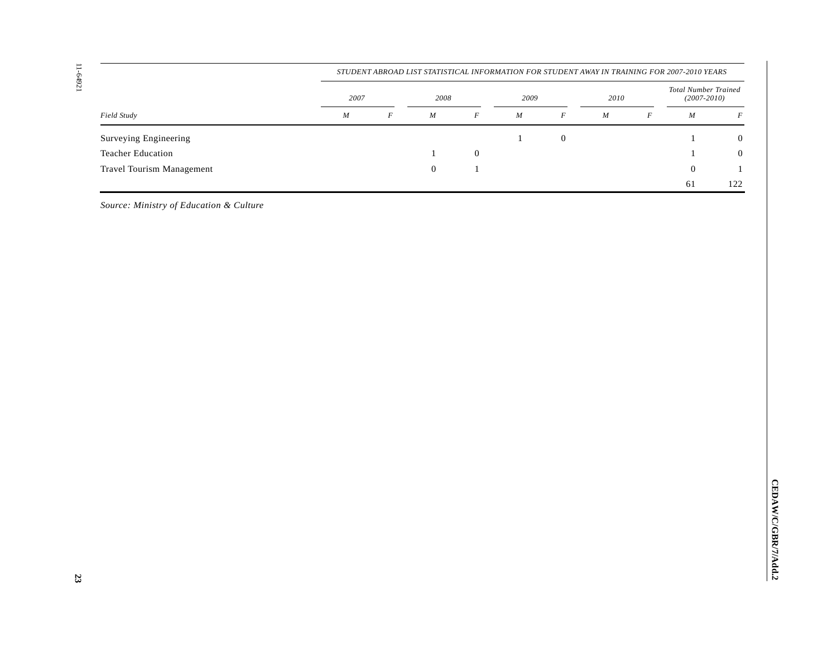11-64921

| $1 - 64921$                             | STUDENT ABROAD LIST STATISTICAL INFORMATION FOR STUDENT AWAY IN TRAINING FOR 2007-2010 YEARS |          |                  |                  |          |                  |          |          |                                                |                  |
|-----------------------------------------|----------------------------------------------------------------------------------------------|----------|------------------|------------------|----------|------------------|----------|----------|------------------------------------------------|------------------|
|                                         | $2007\,$                                                                                     |          | 2008             |                  | $2009\,$ |                  | $2010\,$ |          | <b>Total Number Trained</b><br>$(2007 - 2010)$ |                  |
| Field Study                             | $\cal M$                                                                                     | $\cal F$ | $\cal M$         | $\boldsymbol{F}$ | $\cal M$ | $\cal F$         | $\cal M$ | $\cal F$ | $\cal M$                                       | $\boldsymbol{F}$ |
| Surveying Engineering                   |                                                                                              |          |                  |                  | $\,1\,$  | $\boldsymbol{0}$ |          |          | $\mathbf{1}$                                   | $\boldsymbol{0}$ |
| Teacher Education                       |                                                                                              |          | $\mathbf{1}$     | $\boldsymbol{0}$ |          |                  |          |          | $\mathbf{1}$                                   | $\boldsymbol{0}$ |
| Travel Tourism Management               |                                                                                              |          | $\boldsymbol{0}$ | $\,1\,$          |          |                  |          |          | $\boldsymbol{0}$                               | $\mathbf{1}$     |
|                                         |                                                                                              |          |                  |                  |          |                  |          |          | 61                                             | 122              |
| Source: Ministry of Education & Culture |                                                                                              |          |                  |                  |          |                  |          |          |                                                |                  |
|                                         |                                                                                              |          |                  |                  |          |                  |          |          |                                                |                  |
|                                         |                                                                                              |          |                  |                  |          |                  |          |          |                                                |                  |
|                                         |                                                                                              |          |                  |                  |          |                  |          |          |                                                |                  |
|                                         |                                                                                              |          |                  |                  |          |                  |          |          |                                                |                  |
|                                         |                                                                                              |          |                  |                  |          |                  |          |          |                                                |                  |
|                                         |                                                                                              |          |                  |                  |          |                  |          |          |                                                |                  |
|                                         |                                                                                              |          |                  |                  |          |                  |          |          |                                                |                  |
|                                         |                                                                                              |          |                  |                  |          |                  |          |          |                                                |                  |
|                                         |                                                                                              |          |                  |                  |          |                  |          |          |                                                |                  |
|                                         |                                                                                              |          |                  |                  |          |                  |          |          |                                                |                  |
|                                         |                                                                                              |          |                  |                  |          |                  |          |          |                                                |                  |
|                                         |                                                                                              |          |                  |                  |          |                  |          |          |                                                |                  |
|                                         |                                                                                              |          |                  |                  |          |                  |          |          |                                                |                  |
|                                         |                                                                                              |          |                  |                  |          |                  |          |          |                                                |                  |
| 23                                      |                                                                                              |          |                  |                  |          |                  |          |          |                                                |                  |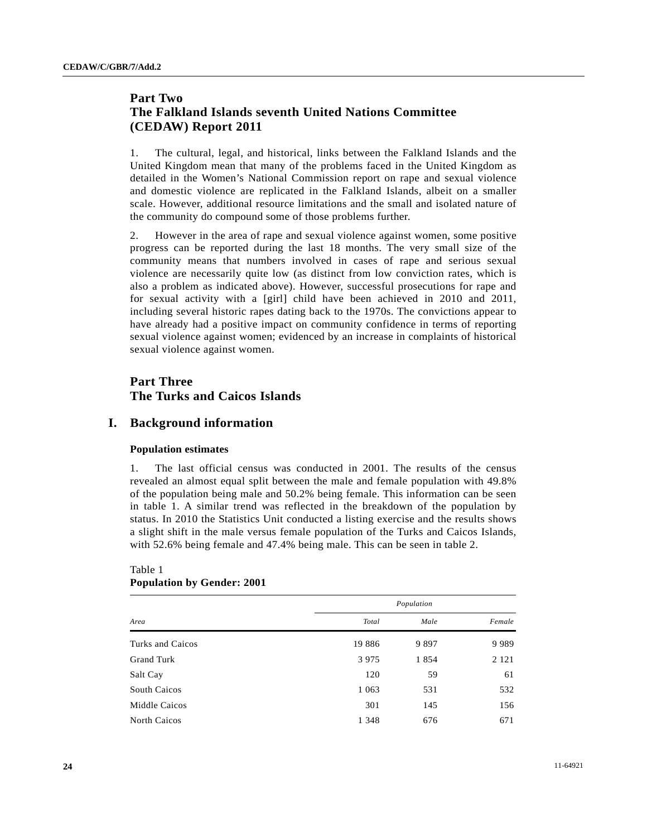# **Part Two The Falkland Islands seventh United Nations Committee (CEDAW) Report 2011**

1. The cultural, legal, and historical, links between the Falkland Islands and the United Kingdom mean that many of the problems faced in the United Kingdom as detailed in the Women's National Commission report on rape and sexual violence and domestic violence are replicated in the Falkland Islands, albeit on a smaller scale. However, additional resource limitations and the small and isolated nature of the community do compound some of those problems further.

2. However in the area of rape and sexual violence against women, some positive progress can be reported during the last 18 months. The very small size of the community means that numbers involved in cases of rape and serious sexual violence are necessarily quite low (as distinct from low conviction rates, which is also a problem as indicated above). However, successful prosecutions for rape and for sexual activity with a [girl] child have been achieved in 2010 and 2011, including several historic rapes dating back to the 1970s. The convictions appear to have already had a positive impact on community confidence in terms of reporting sexual violence against women; evidenced by an increase in complaints of historical sexual violence against women.

# **Part Three The Turks and Caicos Islands**

# **I. Background information**

# **Population estimates**

1. The last official census was conducted in 2001. The results of the census revealed an almost equal split between the male and female population with 49.8% of the population being male and 50.2% being female. This information can be seen in table 1. A similar trend was reflected in the breakdown of the population by status. In 2010 the Statistics Unit conducted a listing exercise and the results shows a slight shift in the male versus female population of the Turks and Caicos Islands, with 52.6% being female and 47.4% being male. This can be seen in table 2.

| Area                | Population |      |         |  |  |  |
|---------------------|------------|------|---------|--|--|--|
|                     | Total      | Male | Female  |  |  |  |
| Turks and Caicos    | 19886      | 9897 | 9989    |  |  |  |
| Grand Turk          | 3975       | 1854 | 2 1 2 1 |  |  |  |
| Salt Cay            | 120        | 59   | 61      |  |  |  |
| South Caicos        | 1 0 6 3    | 531  | 532     |  |  |  |
| Middle Caicos       | 301        | 145  | 156     |  |  |  |
| <b>North Caicos</b> | 1 3 4 8    | 676  | 671     |  |  |  |
|                     |            |      |         |  |  |  |

# Table 1 **Population by Gender: 2001**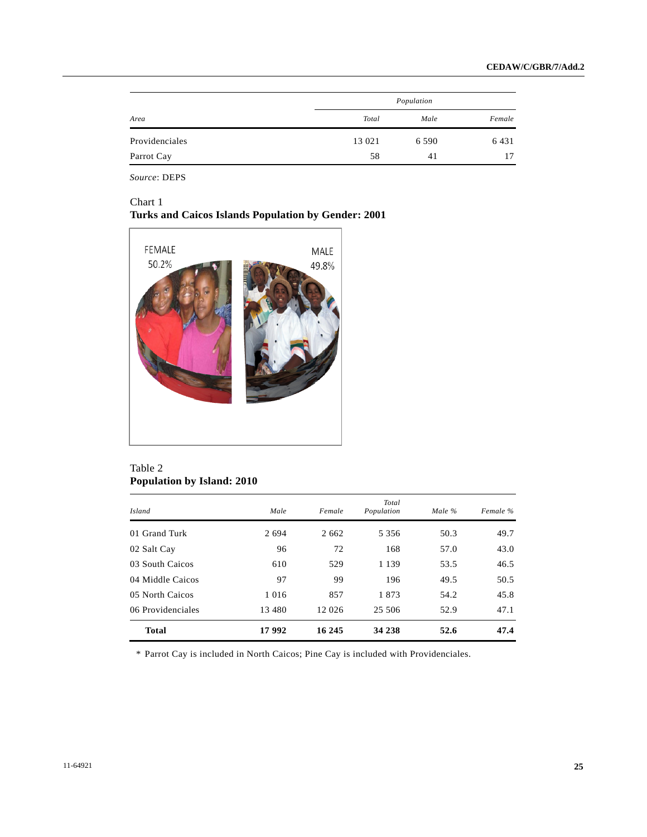|                |        | Population |        |
|----------------|--------|------------|--------|
| Area           | Total  | Male       | Female |
| Providenciales | 13 021 | 6 5 9 0    | 6431   |
| Parrot Cay     | 58     | 41         | 17     |

*Source*: DEPS

# Chart 1 **Turks and Caicos Islands Population by Gender: 2001**



# Table 2 **Population by Island: 2010**

| <i>Island</i>     | Male     | Female  | Total<br>Population | Male $\%$ | Female % |
|-------------------|----------|---------|---------------------|-----------|----------|
| 01 Grand Turk     | 2 6 9 4  | 2 6 6 2 | 5 3 5 6             | 50.3      | 49.7     |
| 02 Salt Cay       | 96       | 72      | 168                 | 57.0      | 43.0     |
| 03 South Caicos   | 610      | 529     | 1 1 3 9             | 53.5      | 46.5     |
| 04 Middle Caicos  | 97       | 99      | 196                 | 49.5      | 50.5     |
| 05 North Caicos   | 1 0 1 6  | 857     | 1873                | 54.2      | 45.8     |
| 06 Providenciales | 13 4 8 0 | 12 026  | 25 506              | 52.9      | 47.1     |
| <b>Total</b>      | 17992    | 16 245  | 34 238              | 52.6      | 47.4     |

\* Parrot Cay is included in North Caicos; Pine Cay is included with Providenciales.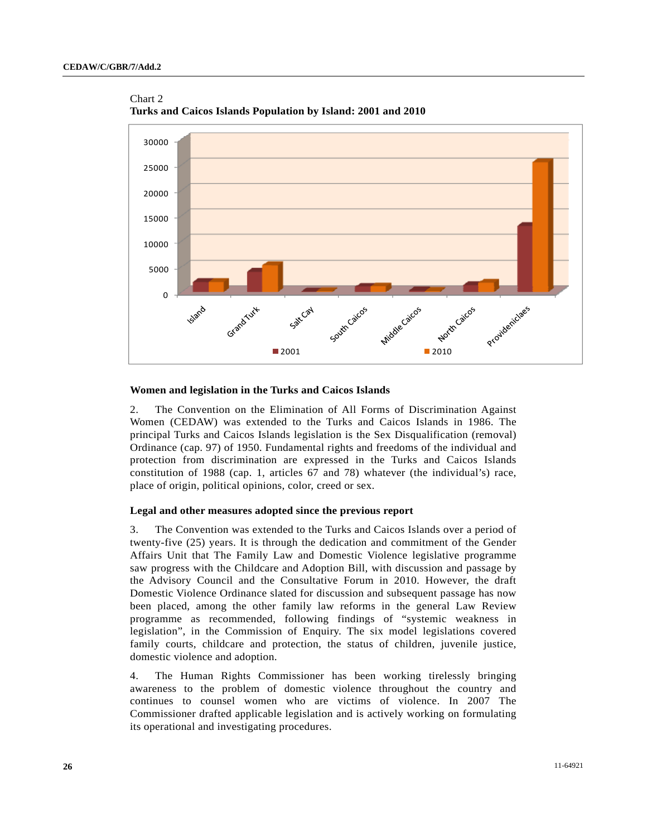Chart 2



**Turks and Caicos Islands Population by Island: 2001 and 2010** 

### **Women and legislation in the Turks and Caicos Islands**

2. The Convention on the Elimination of All Forms of Discrimination Against Women (CEDAW) was extended to the Turks and Caicos Islands in 1986. The principal Turks and Caicos Islands legislation is the Sex Disqualification (removal) Ordinance (cap. 97) of 1950. Fundamental rights and freedoms of the individual and protection from discrimination are expressed in the Turks and Caicos Islands constitution of 1988 (cap. 1, articles 67 and 78) whatever (the individual's) race, place of origin, political opinions, color, creed or sex.

# **Legal and other measures adopted since the previous report**

3. The Convention was extended to the Turks and Caicos Islands over a period of twenty-five (25) years. It is through the dedication and commitment of the Gender Affairs Unit that The Family Law and Domestic Violence legislative programme saw progress with the Childcare and Adoption Bill, with discussion and passage by the Advisory Council and the Consultative Forum in 2010. However, the draft Domestic Violence Ordinance slated for discussion and subsequent passage has now been placed, among the other family law reforms in the general Law Review programme as recommended, following findings of "systemic weakness in legislation", in the Commission of Enquiry. The six model legislations covered family courts, childcare and protection, the status of children, juvenile justice, domestic violence and adoption.

4. The Human Rights Commissioner has been working tirelessly bringing awareness to the problem of domestic violence throughout the country and continues to counsel women who are victims of violence. In 2007 The Commissioner drafted applicable legislation and is actively working on formulating its operational and investigating procedures.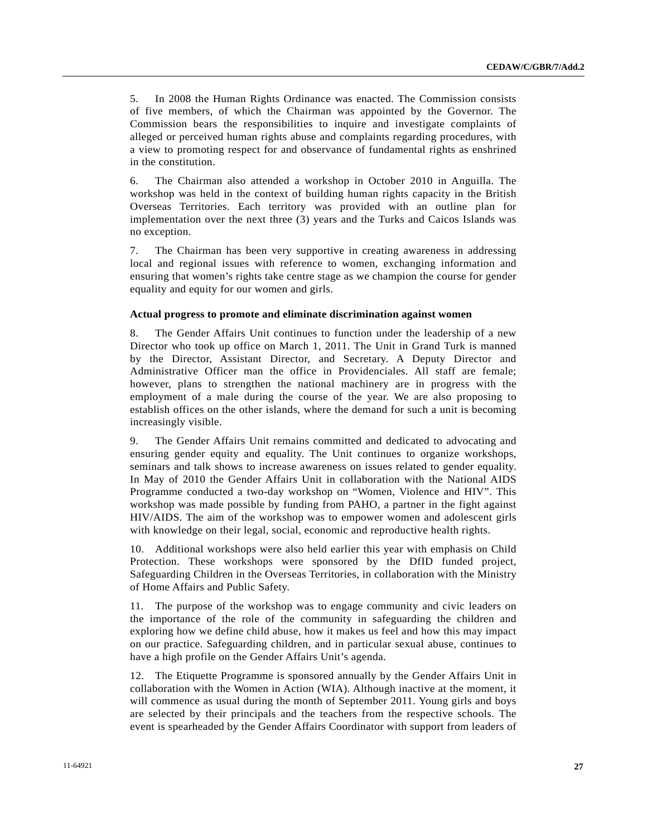5. In 2008 the Human Rights Ordinance was enacted. The Commission consists of five members, of which the Chairman was appointed by the Governor. The Commission bears the responsibilities to inquire and investigate complaints of alleged or perceived human rights abuse and complaints regarding procedures, with a view to promoting respect for and observance of fundamental rights as enshrined in the constitution.

6. The Chairman also attended a workshop in October 2010 in Anguilla. The workshop was held in the context of building human rights capacity in the British Overseas Territories. Each territory was provided with an outline plan for implementation over the next three (3) years and the Turks and Caicos Islands was no exception.

7. The Chairman has been very supportive in creating awareness in addressing local and regional issues with reference to women, exchanging information and ensuring that women's rights take centre stage as we champion the course for gender equality and equity for our women and girls.

### **Actual progress to promote and eliminate discrimination against women**

8. The Gender Affairs Unit continues to function under the leadership of a new Director who took up office on March 1, 2011. The Unit in Grand Turk is manned by the Director, Assistant Director, and Secretary. A Deputy Director and Administrative Officer man the office in Providenciales. All staff are female; however, plans to strengthen the national machinery are in progress with the employment of a male during the course of the year. We are also proposing to establish offices on the other islands, where the demand for such a unit is becoming increasingly visible.

9. The Gender Affairs Unit remains committed and dedicated to advocating and ensuring gender equity and equality. The Unit continues to organize workshops, seminars and talk shows to increase awareness on issues related to gender equality. In May of 2010 the Gender Affairs Unit in collaboration with the National AIDS Programme conducted a two-day workshop on "Women, Violence and HIV". This workshop was made possible by funding from PAHO, a partner in the fight against HIV/AIDS. The aim of the workshop was to empower women and adolescent girls with knowledge on their legal, social, economic and reproductive health rights.

10. Additional workshops were also held earlier this year with emphasis on Child Protection. These workshops were sponsored by the DfID funded project, Safeguarding Children in the Overseas Territories, in collaboration with the Ministry of Home Affairs and Public Safety.

11. The purpose of the workshop was to engage community and civic leaders on the importance of the role of the community in safeguarding the children and exploring how we define child abuse, how it makes us feel and how this may impact on our practice. Safeguarding children, and in particular sexual abuse, continues to have a high profile on the Gender Affairs Unit's agenda.

12. The Etiquette Programme is sponsored annually by the Gender Affairs Unit in collaboration with the Women in Action (WIA). Although inactive at the moment, it will commence as usual during the month of September 2011. Young girls and boys are selected by their principals and the teachers from the respective schools. The event is spearheaded by the Gender Affairs Coordinator with support from leaders of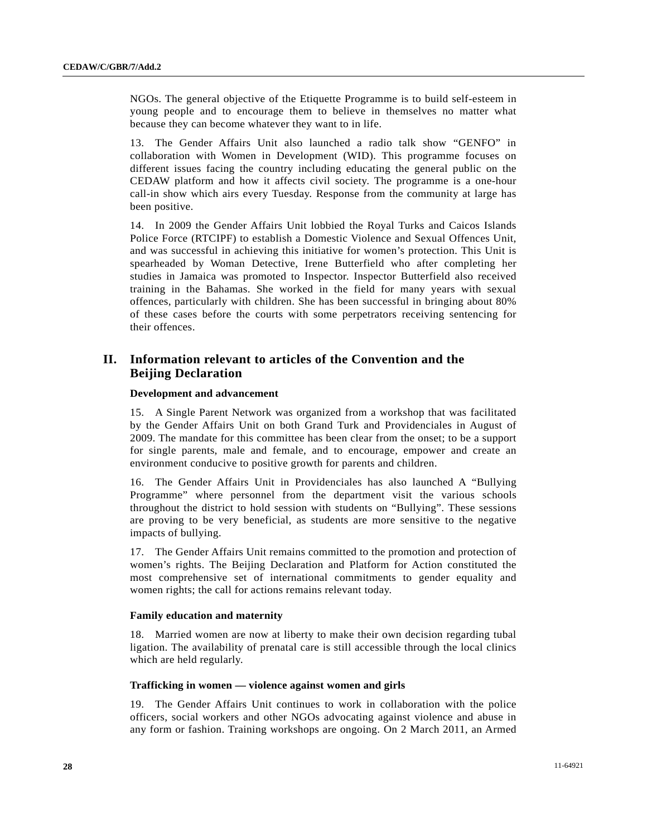NGOs. The general objective of the Etiquette Programme is to build self-esteem in young people and to encourage them to believe in themselves no matter what because they can become whatever they want to in life.

13. The Gender Affairs Unit also launched a radio talk show "GENFO" in collaboration with Women in Development (WID). This programme focuses on different issues facing the country including educating the general public on the CEDAW platform and how it affects civil society. The programme is a one-hour call-in show which airs every Tuesday. Response from the community at large has been positive.

14. In 2009 the Gender Affairs Unit lobbied the Royal Turks and Caicos Islands Police Force (RTCIPF) to establish a Domestic Violence and Sexual Offences Unit, and was successful in achieving this initiative for women's protection. This Unit is spearheaded by Woman Detective, Irene Butterfield who after completing her studies in Jamaica was promoted to Inspector. Inspector Butterfield also received training in the Bahamas. She worked in the field for many years with sexual offences, particularly with children. She has been successful in bringing about 80% of these cases before the courts with some perpetrators receiving sentencing for their offences.

# **II. Information relevant to articles of the Convention and the Beijing Declaration**

### **Development and advancement**

15. A Single Parent Network was organized from a workshop that was facilitated by the Gender Affairs Unit on both Grand Turk and Providenciales in August of 2009. The mandate for this committee has been clear from the onset; to be a support for single parents, male and female, and to encourage, empower and create an environment conducive to positive growth for parents and children.

16. The Gender Affairs Unit in Providenciales has also launched A "Bullying Programme" where personnel from the department visit the various schools throughout the district to hold session with students on "Bullying". These sessions are proving to be very beneficial, as students are more sensitive to the negative impacts of bullying.

17. The Gender Affairs Unit remains committed to the promotion and protection of women's rights. The Beijing Declaration and Platform for Action constituted the most comprehensive set of international commitments to gender equality and women rights; the call for actions remains relevant today.

# **Family education and maternity**

18. Married women are now at liberty to make their own decision regarding tubal ligation. The availability of prenatal care is still accessible through the local clinics which are held regularly.

# **Trafficking in women — violence against women and girls**

19. The Gender Affairs Unit continues to work in collaboration with the police officers, social workers and other NGOs advocating against violence and abuse in any form or fashion. Training workshops are ongoing. On 2 March 2011, an Armed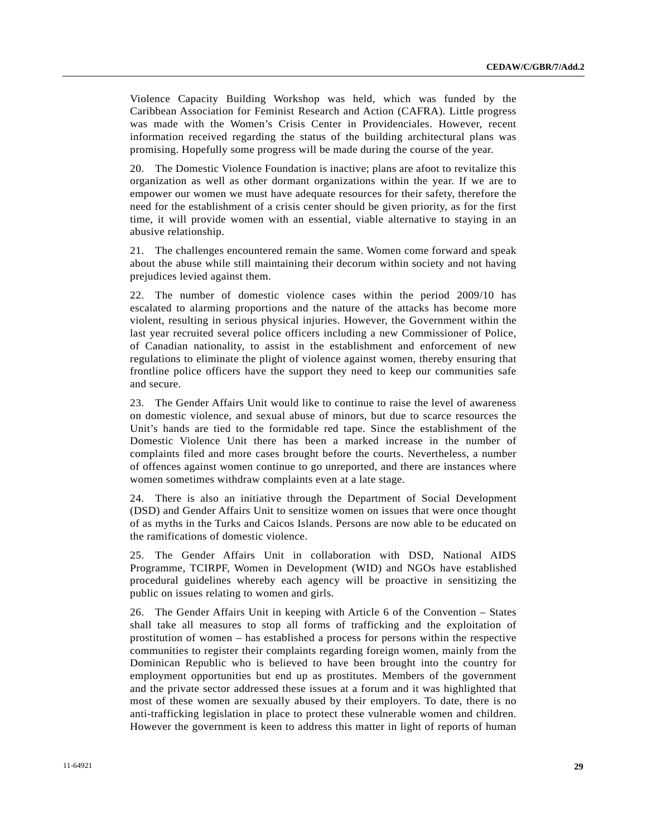Violence Capacity Building Workshop was held, which was funded by the Caribbean Association for Feminist Research and Action (CAFRA). Little progress was made with the Women's Crisis Center in Providenciales. However, recent information received regarding the status of the building architectural plans was promising. Hopefully some progress will be made during the course of the year.

20. The Domestic Violence Foundation is inactive; plans are afoot to revitalize this organization as well as other dormant organizations within the year. If we are to empower our women we must have adequate resources for their safety, therefore the need for the establishment of a crisis center should be given priority, as for the first time, it will provide women with an essential, viable alternative to staying in an abusive relationship.

21. The challenges encountered remain the same. Women come forward and speak about the abuse while still maintaining their decorum within society and not having prejudices levied against them.

22. The number of domestic violence cases within the period 2009/10 has escalated to alarming proportions and the nature of the attacks has become more violent, resulting in serious physical injuries. However, the Government within the last year recruited several police officers including a new Commissioner of Police, of Canadian nationality, to assist in the establishment and enforcement of new regulations to eliminate the plight of violence against women, thereby ensuring that frontline police officers have the support they need to keep our communities safe and secure.

23. The Gender Affairs Unit would like to continue to raise the level of awareness on domestic violence, and sexual abuse of minors, but due to scarce resources the Unit's hands are tied to the formidable red tape. Since the establishment of the Domestic Violence Unit there has been a marked increase in the number of complaints filed and more cases brought before the courts. Nevertheless, a number of offences against women continue to go unreported, and there are instances where women sometimes withdraw complaints even at a late stage.

24. There is also an initiative through the Department of Social Development (DSD) and Gender Affairs Unit to sensitize women on issues that were once thought of as myths in the Turks and Caicos Islands. Persons are now able to be educated on the ramifications of domestic violence.

25. The Gender Affairs Unit in collaboration with DSD, National AIDS Programme, TCIRPF, Women in Development (WID) and NGOs have established procedural guidelines whereby each agency will be proactive in sensitizing the public on issues relating to women and girls.

26. The Gender Affairs Unit in keeping with Article 6 of the Convention – States shall take all measures to stop all forms of trafficking and the exploitation of prostitution of women – has established a process for persons within the respective communities to register their complaints regarding foreign women, mainly from the Dominican Republic who is believed to have been brought into the country for employment opportunities but end up as prostitutes. Members of the government and the private sector addressed these issues at a forum and it was highlighted that most of these women are sexually abused by their employers. To date, there is no anti-trafficking legislation in place to protect these vulnerable women and children. However the government is keen to address this matter in light of reports of human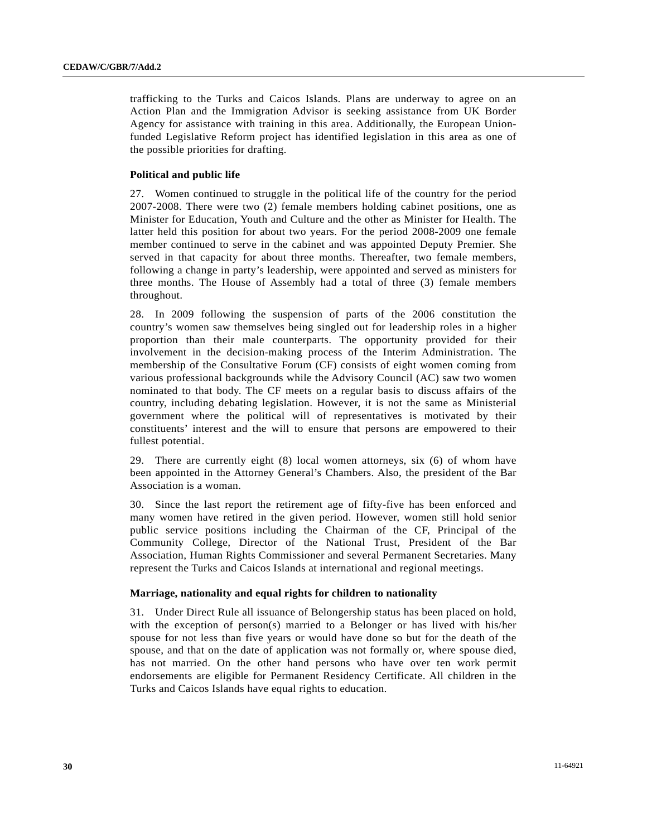trafficking to the Turks and Caicos Islands. Plans are underway to agree on an Action Plan and the Immigration Advisor is seeking assistance from UK Border Agency for assistance with training in this area. Additionally, the European Unionfunded Legislative Reform project has identified legislation in this area as one of the possible priorities for drafting.

# **Political and public life**

27. Women continued to struggle in the political life of the country for the period 2007-2008. There were two (2) female members holding cabinet positions, one as Minister for Education, Youth and Culture and the other as Minister for Health. The latter held this position for about two years. For the period 2008-2009 one female member continued to serve in the cabinet and was appointed Deputy Premier. She served in that capacity for about three months. Thereafter, two female members, following a change in party's leadership, were appointed and served as ministers for three months. The House of Assembly had a total of three (3) female members throughout.

28. In 2009 following the suspension of parts of the 2006 constitution the country's women saw themselves being singled out for leadership roles in a higher proportion than their male counterparts. The opportunity provided for their involvement in the decision-making process of the Interim Administration. The membership of the Consultative Forum (CF) consists of eight women coming from various professional backgrounds while the Advisory Council (AC) saw two women nominated to that body. The CF meets on a regular basis to discuss affairs of the country, including debating legislation. However, it is not the same as Ministerial government where the political will of representatives is motivated by their constituents' interest and the will to ensure that persons are empowered to their fullest potential.

29. There are currently eight (8) local women attorneys, six (6) of whom have been appointed in the Attorney General's Chambers. Also, the president of the Bar Association is a woman.

30. Since the last report the retirement age of fifty-five has been enforced and many women have retired in the given period. However, women still hold senior public service positions including the Chairman of the CF, Principal of the Community College, Director of the National Trust, President of the Bar Association, Human Rights Commissioner and several Permanent Secretaries. Many represent the Turks and Caicos Islands at international and regional meetings.

# **Marriage, nationality and equal rights for children to nationality**

31. Under Direct Rule all issuance of Belongership status has been placed on hold, with the exception of person(s) married to a Belonger or has lived with his/her spouse for not less than five years or would have done so but for the death of the spouse, and that on the date of application was not formally or, where spouse died, has not married. On the other hand persons who have over ten work permit endorsements are eligible for Permanent Residency Certificate. All children in the Turks and Caicos Islands have equal rights to education.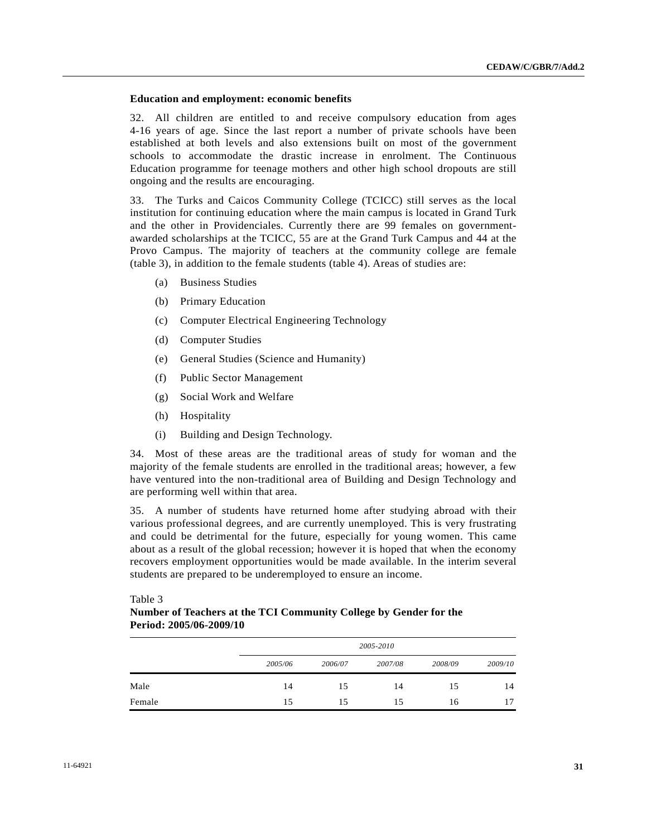# **Education and employment: economic benefits**

32. All children are entitled to and receive compulsory education from ages 4-16 years of age. Since the last report a number of private schools have been established at both levels and also extensions built on most of the government schools to accommodate the drastic increase in enrolment. The Continuous Education programme for teenage mothers and other high school dropouts are still ongoing and the results are encouraging.

33. The Turks and Caicos Community College (TCICC) still serves as the local institution for continuing education where the main campus is located in Grand Turk and the other in Providenciales. Currently there are 99 females on governmentawarded scholarships at the TCICC, 55 are at the Grand Turk Campus and 44 at the Provo Campus. The majority of teachers at the community college are female (table 3), in addition to the female students (table 4). Areas of studies are:

- (a) Business Studies
- (b) Primary Education
- (c) Computer Electrical Engineering Technology
- (d) Computer Studies
- (e) General Studies (Science and Humanity)
- (f) Public Sector Management
- (g) Social Work and Welfare
- (h) Hospitality
- (i) Building and Design Technology.

34. Most of these areas are the traditional areas of study for woman and the majority of the female students are enrolled in the traditional areas; however, a few have ventured into the non-traditional area of Building and Design Technology and are performing well within that area.

35. A number of students have returned home after studying abroad with their various professional degrees, and are currently unemployed. This is very frustrating and could be detrimental for the future, especially for young women. This came about as a result of the global recession; however it is hoped that when the economy recovers employment opportunities would be made available. In the interim several students are prepared to be underemployed to ensure an income.

Table 3

| Number of Teachers at the TCI Community College by Gender for the |  |
|-------------------------------------------------------------------|--|
| <b>Period: 2005/06-2009/10</b>                                    |  |

|        | 2005-2010 |         |         |         |         |  |  |
|--------|-----------|---------|---------|---------|---------|--|--|
|        | 2005/06   | 2006/07 | 2007/08 | 2008/09 | 2009/10 |  |  |
| Male   | 14        | 15      | 14      | 15      | 14      |  |  |
| Female | 15        | 15      | 15      | 16      | 17      |  |  |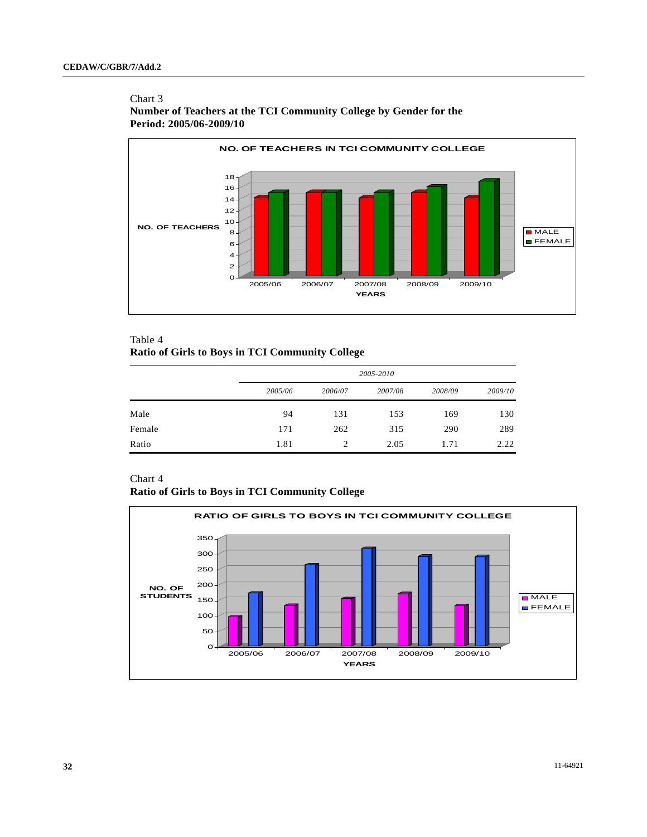# Chart 3 **Number of Teachers at the TCI Community College by Gender for the Period: 2005/06-2009/10**



# Table 4

# **Ratio of Girls to Boys in TCI Community College**

|        |         | 2005-2010 |         |         |         |  |  |  |
|--------|---------|-----------|---------|---------|---------|--|--|--|
|        | 2005/06 | 2006/07   | 2007/08 | 2008/09 | 2009/10 |  |  |  |
| Male   | 94      | 131       | 153     | 169     | 130     |  |  |  |
| Female | 171     | 262       | 315     | 290     | 289     |  |  |  |
| Ratio  | 1.81    | 2         | 2.05    | 1.71    | 2.22    |  |  |  |

# Chart 4

**Ratio of Girls to Boys in TCI Community College** 

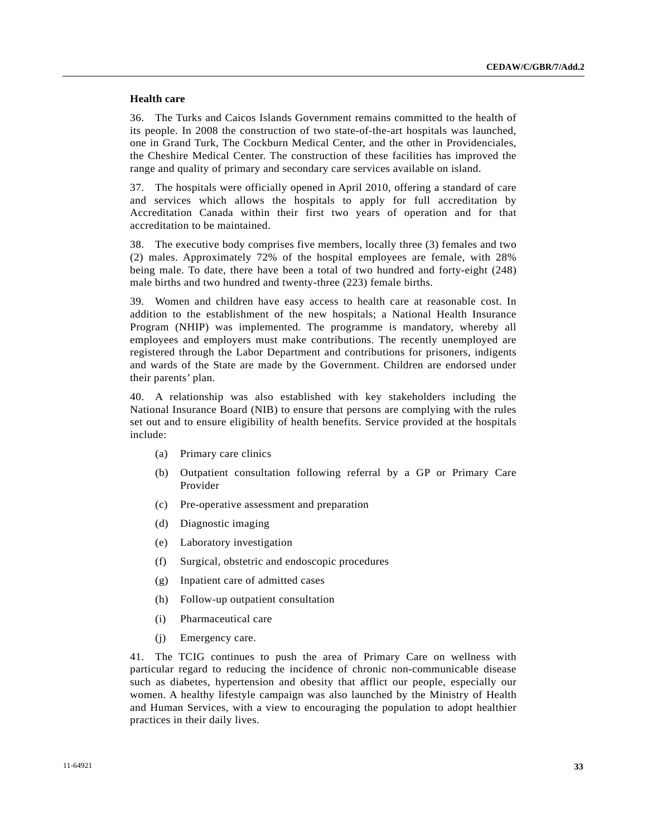# **Health care**

36. The Turks and Caicos Islands Government remains committed to the health of its people. In 2008 the construction of two state-of-the-art hospitals was launched, one in Grand Turk, The Cockburn Medical Center, and the other in Providenciales, the Cheshire Medical Center. The construction of these facilities has improved the range and quality of primary and secondary care services available on island.

37. The hospitals were officially opened in April 2010, offering a standard of care and services which allows the hospitals to apply for full accreditation by Accreditation Canada within their first two years of operation and for that accreditation to be maintained.

38. The executive body comprises five members, locally three (3) females and two (2) males. Approximately 72% of the hospital employees are female, with 28% being male. To date, there have been a total of two hundred and forty-eight (248) male births and two hundred and twenty-three (223) female births.

39. Women and children have easy access to health care at reasonable cost. In addition to the establishment of the new hospitals; a National Health Insurance Program (NHIP) was implemented. The programme is mandatory, whereby all employees and employers must make contributions. The recently unemployed are registered through the Labor Department and contributions for prisoners, indigents and wards of the State are made by the Government. Children are endorsed under their parents' plan.

40. A relationship was also established with key stakeholders including the National Insurance Board (NIB) to ensure that persons are complying with the rules set out and to ensure eligibility of health benefits. Service provided at the hospitals include:

- (a) Primary care clinics
- (b) Outpatient consultation following referral by a GP or Primary Care Provider
- (c) Pre-operative assessment and preparation
- (d) Diagnostic imaging
- (e) Laboratory investigation
- (f) Surgical, obstetric and endoscopic procedures
- (g) Inpatient care of admitted cases
- (h) Follow-up outpatient consultation
- (i) Pharmaceutical care
- (j) Emergency care.

41. The TCIG continues to push the area of Primary Care on wellness with particular regard to reducing the incidence of chronic non-communicable disease such as diabetes, hypertension and obesity that afflict our people, especially our women. A healthy lifestyle campaign was also launched by the Ministry of Health and Human Services, with a view to encouraging the population to adopt healthier practices in their daily lives.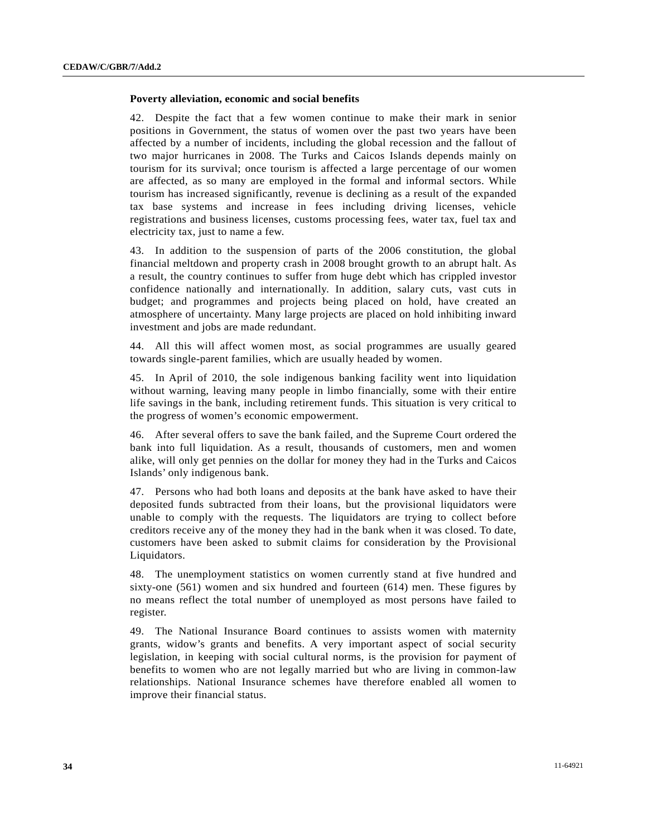### **Poverty alleviation, economic and social benefits**

42. Despite the fact that a few women continue to make their mark in senior positions in Government, the status of women over the past two years have been affected by a number of incidents, including the global recession and the fallout of two major hurricanes in 2008. The Turks and Caicos Islands depends mainly on tourism for its survival; once tourism is affected a large percentage of our women are affected, as so many are employed in the formal and informal sectors. While tourism has increased significantly, revenue is declining as a result of the expanded tax base systems and increase in fees including driving licenses, vehicle registrations and business licenses, customs processing fees, water tax, fuel tax and electricity tax, just to name a few.

43. In addition to the suspension of parts of the 2006 constitution, the global financial meltdown and property crash in 2008 brought growth to an abrupt halt. As a result, the country continues to suffer from huge debt which has crippled investor confidence nationally and internationally. In addition, salary cuts, vast cuts in budget; and programmes and projects being placed on hold, have created an atmosphere of uncertainty. Many large projects are placed on hold inhibiting inward investment and jobs are made redundant.

44. All this will affect women most, as social programmes are usually geared towards single-parent families, which are usually headed by women.

45. In April of 2010, the sole indigenous banking facility went into liquidation without warning, leaving many people in limbo financially, some with their entire life savings in the bank, including retirement funds. This situation is very critical to the progress of women's economic empowerment.

46. After several offers to save the bank failed, and the Supreme Court ordered the bank into full liquidation. As a result, thousands of customers, men and women alike, will only get pennies on the dollar for money they had in the Turks and Caicos Islands' only indigenous bank.

47. Persons who had both loans and deposits at the bank have asked to have their deposited funds subtracted from their loans, but the provisional liquidators were unable to comply with the requests. The liquidators are trying to collect before creditors receive any of the money they had in the bank when it was closed. To date, customers have been asked to submit claims for consideration by the Provisional Liquidators.

48. The unemployment statistics on women currently stand at five hundred and sixty-one (561) women and six hundred and fourteen (614) men. These figures by no means reflect the total number of unemployed as most persons have failed to register.

49. The National Insurance Board continues to assists women with maternity grants, widow's grants and benefits. A very important aspect of social security legislation, in keeping with social cultural norms, is the provision for payment of benefits to women who are not legally married but who are living in common-law relationships. National Insurance schemes have therefore enabled all women to improve their financial status.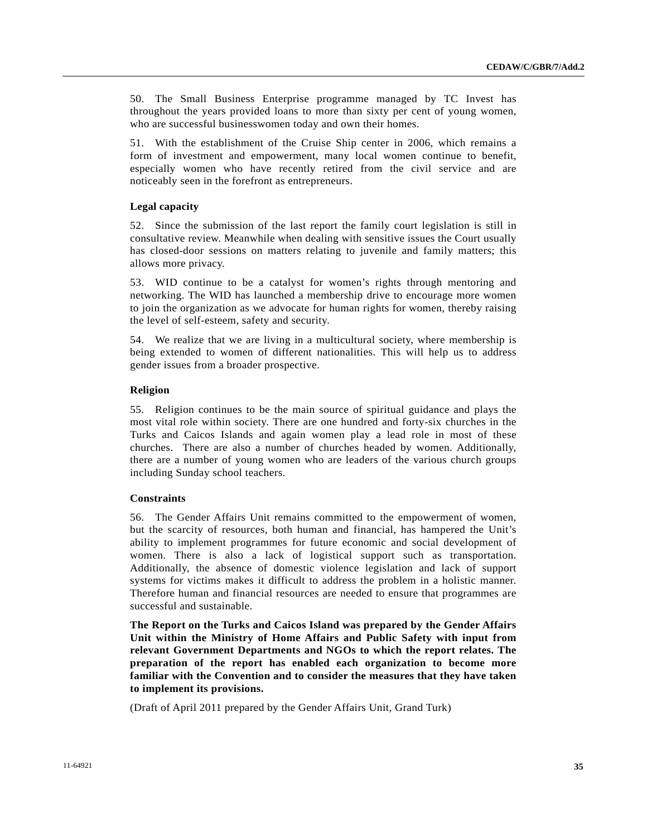50. The Small Business Enterprise programme managed by TC Invest has throughout the years provided loans to more than sixty per cent of young women, who are successful businesswomen today and own their homes.

51. With the establishment of the Cruise Ship center in 2006, which remains a form of investment and empowerment, many local women continue to benefit, especially women who have recently retired from the civil service and are noticeably seen in the forefront as entrepreneurs.

### **Legal capacity**

52. Since the submission of the last report the family court legislation is still in consultative review. Meanwhile when dealing with sensitive issues the Court usually has closed-door sessions on matters relating to juvenile and family matters; this allows more privacy.

53. WID continue to be a catalyst for women's rights through mentoring and networking. The WID has launched a membership drive to encourage more women to join the organization as we advocate for human rights for women, thereby raising the level of self-esteem, safety and security.

54. We realize that we are living in a multicultural society, where membership is being extended to women of different nationalities. This will help us to address gender issues from a broader prospective.

### **Religion**

55. Religion continues to be the main source of spiritual guidance and plays the most vital role within society. There are one hundred and forty-six churches in the Turks and Caicos Islands and again women play a lead role in most of these churches. There are also a number of churches headed by women. Additionally, there are a number of young women who are leaders of the various church groups including Sunday school teachers.

### **Constraints**

56. The Gender Affairs Unit remains committed to the empowerment of women, but the scarcity of resources, both human and financial, has hampered the Unit's ability to implement programmes for future economic and social development of women. There is also a lack of logistical support such as transportation. Additionally, the absence of domestic violence legislation and lack of support systems for victims makes it difficult to address the problem in a holistic manner. Therefore human and financial resources are needed to ensure that programmes are successful and sustainable.

**The Report on the Turks and Caicos Island was prepared by the Gender Affairs Unit within the Ministry of Home Affairs and Public Safety with input from relevant Government Departments and NGOs to which the report relates. The preparation of the report has enabled each organization to become more familiar with the Convention and to consider the measures that they have taken to implement its provisions.** 

(Draft of April 2011 prepared by the Gender Affairs Unit, Grand Turk)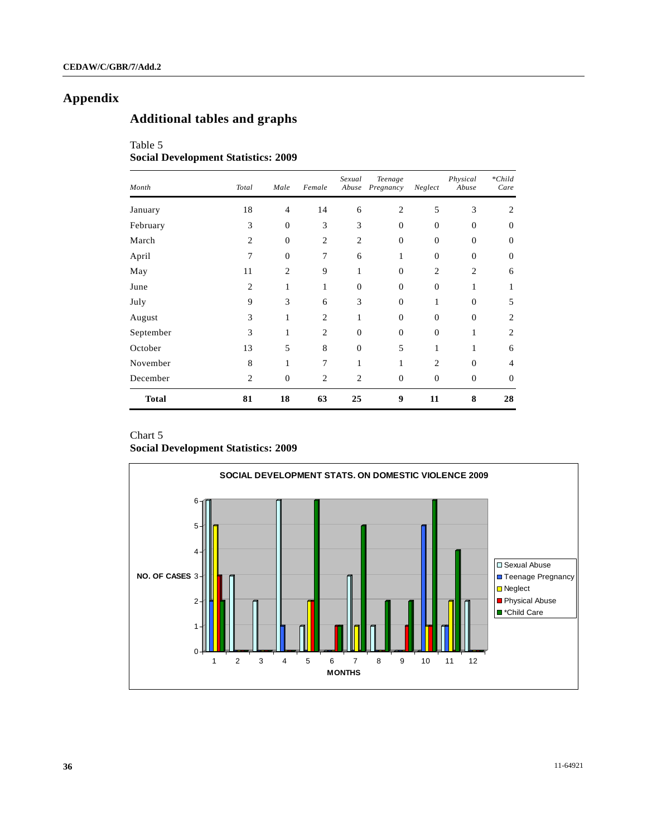# **Appendix**

# **Additional tables and graphs**

# Table 5 **Social Development Statistics: 2009**

| Month        | Total          | Male           | Female         | Sexual<br>Abuse | Teenage<br>Pregnancy | Neglect        | Physical<br>Abuse | $*Child$<br>Care |
|--------------|----------------|----------------|----------------|-----------------|----------------------|----------------|-------------------|------------------|
| January      | 18             | $\overline{4}$ | 14             | 6               | $\overline{c}$       | 5              | 3                 | 2                |
| February     | 3              | $\overline{0}$ | 3              | 3               | $\overline{0}$       | $\Omega$       | $\Omega$          | $\Omega$         |
| March        | $\overline{c}$ | $\mathbf{0}$   | $\overline{2}$ | $\overline{2}$  | $\mathbf{0}$         | $\Omega$       | $\theta$          | $\Omega$         |
| April        | $\overline{7}$ | $\Omega$       | 7              | 6               | 1                    | $\Omega$       | $\Omega$          | $\Omega$         |
| May          | 11             | $\overline{2}$ | 9              | 1               | $\overline{0}$       | $\overline{2}$ | $\overline{2}$    | 6                |
| June         | $\overline{c}$ | 1              | 1              | $\mathbf{0}$    | $\overline{0}$       | $\overline{0}$ | 1                 |                  |
| July         | 9              | 3              | 6              | 3               | $\overline{0}$       | 1              | $\Omega$          | 5                |
| August       | 3              | 1              | $\overline{2}$ | 1               | $\mathbf{0}$         | $\Omega$       | $\Omega$          | 2                |
| September    | 3              | 1              | $\overline{2}$ | $\Omega$        | $\Omega$             | $\Omega$       | 1                 | $\overline{c}$   |
| October      | 13             | 5              | 8              | $\theta$        | 5                    | 1              | 1                 | 6                |
| November     | 8              | 1              | 7              | 1               | $\mathbf{1}$         | $\overline{c}$ | $\Omega$          | 4                |
| December     | $\overline{c}$ | $\mathbf{0}$   | $\overline{2}$ | $\overline{2}$  | $\mathbf{0}$         | $\overline{0}$ | $\theta$          | $\theta$         |
| <b>Total</b> | 81             | 18             | 63             | 25              | 9                    | 11             | 8                 | 28               |

# Chart 5

# **Social Development Statistics: 2009**

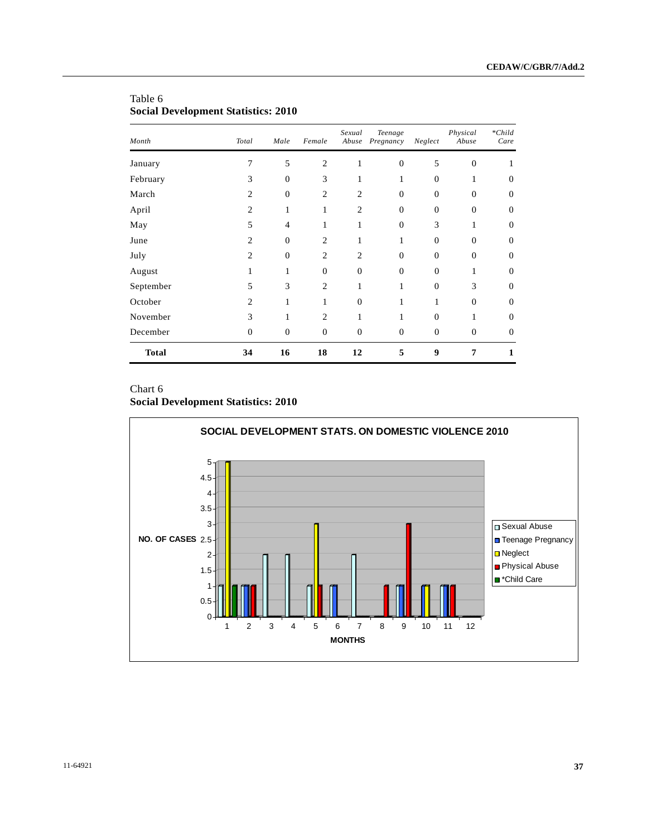| Month        | Total          | Male           | Female                      | Sexual<br>Abuse  | Teenage<br>Pregnancy | Neglect  | Physical<br>Abuse | $*Child$<br>Care |
|--------------|----------------|----------------|-----------------------------|------------------|----------------------|----------|-------------------|------------------|
| January      | 7              | 5              | $\overline{2}$              | 1                | $\mathbf{0}$         | 5        | $\overline{0}$    |                  |
| February     | 3              | $\theta$       | 3                           | $\mathbf{1}$     | 1                    | $\Omega$ | 1                 | $\Omega$         |
| March        | $\overline{c}$ | $\theta$       | $\overline{c}$              | $\overline{2}$   | $\mathbf{0}$         | $\Omega$ | $\Omega$          | 0                |
| April        | $\overline{2}$ | 1              | 1                           | $\overline{c}$   | $\mathbf{0}$         | $\theta$ | $\overline{0}$    | $\Omega$         |
| May          | 5              | $\overline{4}$ | 1                           | $\mathbf{1}$     | $\overline{0}$       | 3        | 1                 | 0                |
| June         | $\overline{c}$ | $\theta$       | $\overline{c}$              | 1                | 1                    | $\Omega$ | $\Omega$          | 0                |
| July         | $\overline{2}$ | $\theta$       | $\overline{2}$              | $\overline{c}$   | $\overline{0}$       | $\Omega$ | $\overline{0}$    | $\Omega$         |
| August       | 1              | 1              | $\theta$                    | $\overline{0}$   | $\theta$             | $\Omega$ | 1                 | 0                |
| September    | 5              | 3              | $\overline{2}$              | 1                | 1                    | $\Omega$ | 3                 | 0                |
| October      | $\overline{c}$ | 1              | 1                           | $\overline{0}$   | 1                    | 1        | $\overline{0}$    | $\Omega$         |
| November     | 3              | $\mathbf{1}$   | $\mathcal{D}_{\mathcal{L}}$ | 1                | 1                    | $\Omega$ | 1                 | 0                |
| December     | $\overline{0}$ | $\mathbf{0}$   | $\mathbf{0}$                | $\boldsymbol{0}$ | $\boldsymbol{0}$     | $\theta$ | $\mathbf{0}$      | $\Omega$         |
| <b>Total</b> | 34             | 16             | 18                          | 12               | 5                    | 9        | 7                 | 1                |

# Table 6 **Social Development Statistics: 2010**

# Chart 6

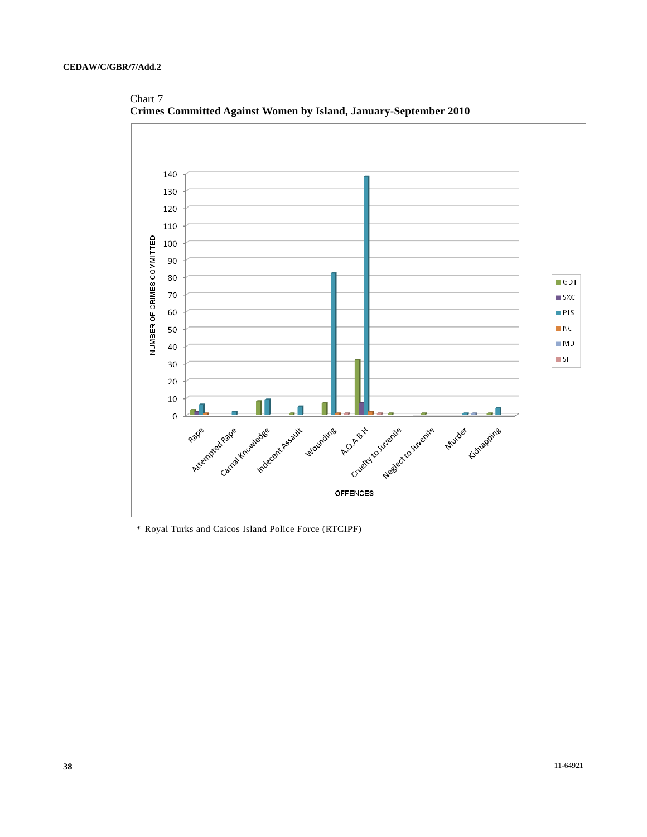

Chart 7 **Crimes Committed Against Women by Island, January-September 2010** 

\* Royal Turks and Caicos Island Police Force (RTCIPF)